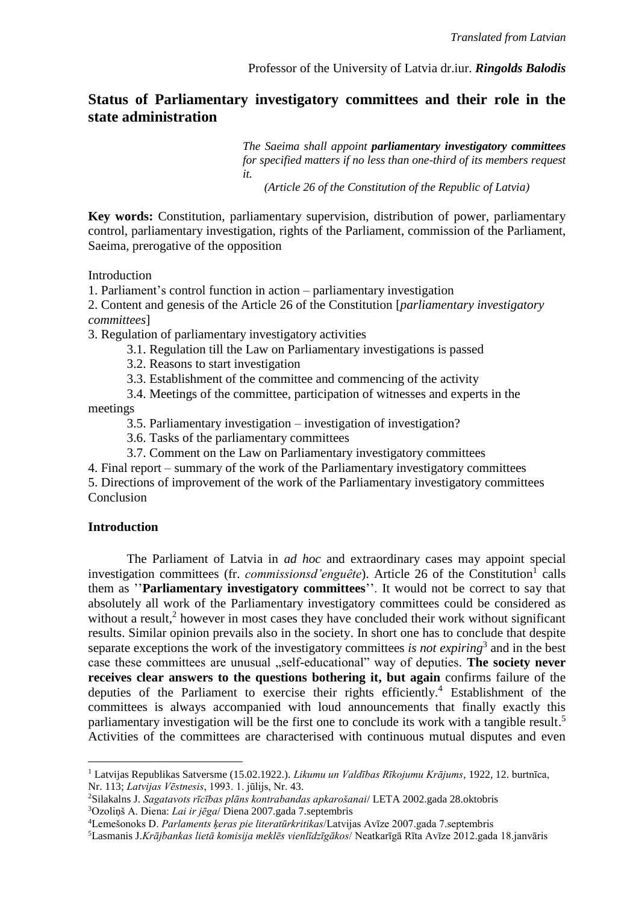# **Status of Parliamentary investigatory committees and their role in the state administration**

*The Saeima shall appoint parliamentary investigatory committees for specified matters if no less than one-third of its members request it.*

 *(Article 26 of the Constitution of the Republic of Latvia)*

**Key words:** Constitution, parliamentary supervision, distribution of power, parliamentary control, parliamentary investigation, rights of the Parliament, commission of the Parliament, Saeima, prerogative of the opposition

Introduction

1. Parliament's control function in action – parliamentary investigation

2. Content and genesis of the Article 26 of the Constitution [*parliamentary investigatory committees*]

3. Regulation of parliamentary investigatory activities

- 3.1. Regulation till the Law on Parliamentary investigations is passed
- 3.2. Reasons to start investigation
- 3.3. Establishment of the committee and commencing of the activity
- 3.4. Meetings of the committee, participation of witnesses and experts in the

meetings

- 3.5. Parliamentary investigation investigation of investigation?
- 3.6. Tasks of the parliamentary committees
- 3.7. Comment on the Law on Parliamentary investigatory committees
- 4. Final report summary of the work of the Parliamentary investigatory committees

5. Directions of improvement of the work of the Parliamentary investigatory committees Conclusion

## **Introduction**

 $\overline{a}$ 

The Parliament of Latvia in *ad hoc* and extraordinary cases may appoint special investigation committees (fr. *commissionsd'enguête*). Article 26 of the Constitution<sup>1</sup> calls them as ''**Parliamentary investigatory committees**''. It would not be correct to say that absolutely all work of the Parliamentary investigatory committees could be considered as without a result,<sup>2</sup> however in most cases they have concluded their work without significant results. Similar opinion prevails also in the society. In short one has to conclude that despite separate exceptions the work of the investigatory committees *is not expiring*<sup>3</sup> and in the best case these committees are unusual "self-educational" way of deputies. The society never **receives clear answers to the questions bothering it, but again** confirms failure of the deputies of the Parliament to exercise their rights efficiently. <sup>4</sup> Establishment of the committees is always accompanied with loud announcements that finally exactly this parliamentary investigation will be the first one to conclude its work with a tangible result.<sup>5</sup> Activities of the committees are characterised with continuous mutual disputes and even

<sup>1</sup> Latvijas Republikas Satversme (15.02.1922.). *Likumu un Valdības Rīkojumu Krājums*, 1922, 12. burtnīca, Nr. 113; *Latvijas Vēstnesis*, 1993. 1. jūlijs, Nr. 43.

<sup>2</sup>Silakalns J. *Sagatavots rīcības plāns kontrabandas apkarošanai*/ LETA 2002.gada 28.oktobris <sup>3</sup>Ozoliņš A. Diena: *Lai ir jēga*/ Diena 2007.gada 7.septembris

<sup>4</sup>Lemešonoks D. *Parlaments ķeras pie literatūrkritikas*/Latvijas Avīze 2007.gada 7.septembris

<sup>5</sup>Lasmanis J.*Krājbankas lietā komisija meklēs vienlīdzīgākos*/ Neatkarīgā Rīta Avīze 2012.gada 18.janvāris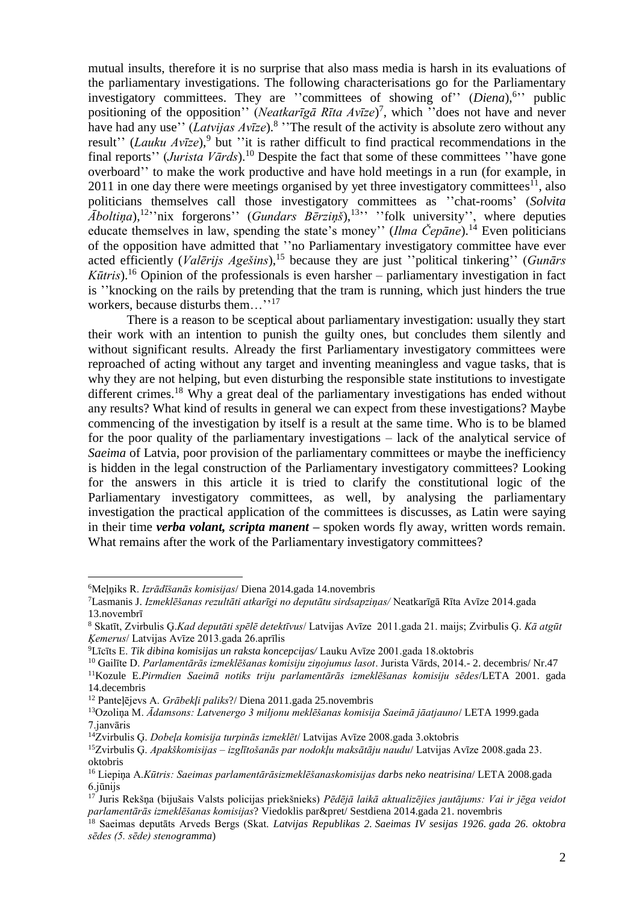mutual insults, therefore it is no surprise that also mass media is harsh in its evaluations of the parliamentary investigations. The following characterisations go for the Parliamentary investigatory committees. They are "committees of showing of" (*Diena*),<sup>6</sup>" public positioning of the opposition'' (*Neatkarīgā Rīta Avīze*) 7 , which ''does not have and never have had any use'' (*Latvijas Avīze*).<sup>8</sup> "The result of the activity is absolute zero without any result" (*Lauku Avīze*),<sup>9</sup> but "it is rather difficult to find practical recommendations in the final reports'' (*Jurista Vārds*).<sup>10</sup> Despite the fact that some of these committees ''have gone overboard'' to make the work productive and have hold meetings in a run (for example, in 2011 in one day there were meetings organised by yet three investigatory committees<sup>11</sup>, also politicians themselves call those investigatory committees as ''chat-rooms' (*Solvita*   $\bar{A}$ *boltiņa*),<sup>12</sup>"nix forgerons" (*Gundars Bērziņš*),<sup>13</sup>" "folk university", where deputies educate themselves in law, spending the state's money'' (*Ilma Čepāne*).<sup>14</sup> Even politicians of the opposition have admitted that ''no Parliamentary investigatory committee have ever acted efficiently (*Valērijs Agešins*), <sup>15</sup> because they are just ''political tinkering'' (*Gunārs Kūtris*). <sup>16</sup> Opinion of the professionals is even harsher – parliamentary investigation in fact is ''knocking on the rails by pretending that the tram is running, which just hinders the true workers, because disturbs them…''<sup>17</sup>

There is a reason to be sceptical about parliamentary investigation: usually they start their work with an intention to punish the guilty ones, but concludes them silently and without significant results. Already the first Parliamentary investigatory committees were reproached of acting without any target and inventing meaningless and vague tasks, that is why they are not helping, but even disturbing the responsible state institutions to investigate different crimes.<sup>18</sup> Why a great deal of the parliamentary investigations has ended without any results? What kind of results in general we can expect from these investigations? Maybe commencing of the investigation by itself is a result at the same time. Who is to be blamed for the poor quality of the parliamentary investigations – lack of the analytical service of *Saeima* of Latvia, poor provision of the parliamentary committees or maybe the inefficiency is hidden in the legal construction of the Parliamentary investigatory committees? Looking for the answers in this article it is tried to clarify the constitutional logic of the Parliamentary investigatory committees, as well, by analysing the parliamentary investigation the practical application of the committees is discusses, as Latin were saying in their time *verba volant, scripta manent* **–** spoken words fly away, written words remain. What remains after the work of the Parliamentary investigatory committees?

<sup>6</sup>Meļņiks R. *Izrādīšanās komisijas*/ Diena 2014.gada 14.novembris

<sup>7</sup>Lasmanis J. *Izmeklēšanas rezultāti atkarīgi no deputātu sirdsapziņas/* Neatkarīgā Rīta Avīze 2014.gada 13.novembrī

<sup>8</sup> Skatīt, Zvirbulis Ģ.*Kad deputāti spēlē detektīvus*/ Latvijas Avīze 2011.gada 21. maijs; Zvirbulis Ģ. *Kā atgūt Ķemerus*/ Latvijas Avīze 2013.gada 26.aprīlis

<sup>9</sup>Līcīts E. *Tik dibina komisijas un raksta koncepcijas/* Lauku Avīze 2001.gada 18.oktobris

<sup>10</sup> Gailīte D. *Parlamentārās izmeklēšanas komisiju ziņojumus lasot*. Jurista Vārds, 2014.- 2. decembris/ Nr.47

<sup>11</sup>Kozule E.*Pirmdien Saeimā notiks triju parlamentārās izmeklēšanas komisiju sēdes*/LETA 2001. gada 14.decembris

<sup>12</sup> Panteļējevs A. *Grābekļi paliks*?/ Diena 2011.gada 25.novembris

<sup>13</sup>Ozoliņa M. *Ādamsons: Latvenergo 3 miljonu meklēšanas komisija Saeimā jāatjauno*/ LETA 1999.gada 7.janvāris

<sup>14</sup>Zvirbulis Ģ. *Dobeļa komisija turpinās izmeklēt*/ Latvijas Avīze 2008.gada 3.oktobris

<sup>15</sup>Zvirbulis Ģ. *Apakškomisijas – izglītošanās par nodokļu maksātāju naudu*/ Latvijas Avīze 2008.gada 23. oktobris

<sup>16</sup> Liepiņa A.*Kūtris: Saeimas parlamentārāsizmeklēšanaskomisijas darbs neko neatrisina*/ LETA 2008.gada 6.jūnijs

<sup>17</sup> Juris Rekšņa (bijušais Valsts policijas priekšnieks) *Pēdējā laikā aktualizējies jautājums: Vai ir jēga veidot parlamentārās izmeklēšanas komisijas*? Viedoklis par&pret/ Sestdiena 2014.gada 21. novembris

<sup>18</sup> Saeimas deputāts Arveds Bergs (Skat. *Latvijas Republikas 2. Saeimas IV sesijas 1926. gada 26. oktobra sēdes (5. sēde) stenogramma*)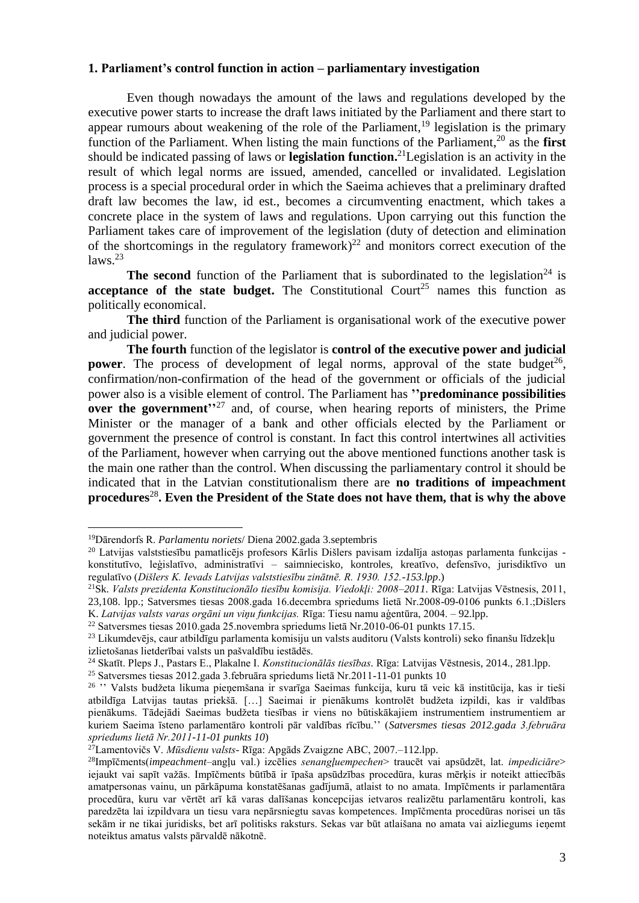## **1. Parliament's control function in action – parliamentary investigation**

Even though nowadays the amount of the laws and regulations developed by the executive power starts to increase the draft laws initiated by the Parliament and there start to appear rumours about weakening of the role of the Parliament,<sup>19</sup> legislation is the primary function of the Parliament. When listing the main functions of the Parliament, <sup>20</sup> as the **first**  should be indicated passing of laws or **legislation function.** <sup>21</sup>Legislation is an activity in the result of which legal norms are issued, amended, cancelled or invalidated. Legislation process is a special procedural order in which the Saeima achieves that a preliminary drafted draft law becomes the law, id est., becomes a circumventing enactment, which takes a concrete place in the system of laws and regulations. Upon carrying out this function the Parliament takes care of improvement of the legislation (duty of detection and elimination of the shortcomings in the regulatory framework)<sup>22</sup> and monitors correct execution of the laws. 23

**The second** function of the Parliament that is subordinated to the legislation<sup>24</sup> is **acceptance of the state budget.** The Constitutional Court<sup>25</sup> names this function as politically economical.

**The third** function of the Parliament is organisational work of the executive power and judicial power.

**The fourth** function of the legislator is **control of the executive power and judicial power**. The process of development of legal norms, approval of the state budget<sup>26</sup>, confirmation/non-confirmation of the head of the government or officials of the judicial power also is a visible element of control. The Parliament has **''predominance possibilities over the government'**<sup>27</sup> and, of course, when hearing reports of ministers, the Prime Minister or the manager of a bank and other officials elected by the Parliament or government the presence of control is constant. In fact this control intertwines all activities of the Parliament, however when carrying out the above mentioned functions another task is the main one rather than the control. When discussing the parliamentary control it should be indicated that in the Latvian constitutionalism there are **no traditions of impeachment procedures**<sup>28</sup> **. Even the President of the State does not have them, that is why the above** 

<sup>19</sup>Dārendorfs R. *Parlamentu noriets*/ Diena 2002.gada 3.septembris

<sup>20</sup> Latvijas valststiesību pamatlicējs profesors Kārlis Dišlers pavisam izdalīja astoņas parlamenta funkcijas konstitutīvo, leģislatīvo, administratīvi – saimniecisko, kontroles, kreatīvo, defensīvo, jurisdiktīvo un regulatīvo (*Dišlers K. Ievads Latvijas valststiesību zinātnē. R. 1930. 152.-153.lpp*.)

<sup>21</sup>Sk. *Valsts prezidenta Konstitucionālo tiesību komisija. Viedokļi: 2008–2011.* Rīga: Latvijas Vēstnesis, 2011, 23,108. lpp.; Satversmes tiesas 2008.gada 16.decembra spriedums lietā Nr.2008-09-0106 punkts 6.1.;Dišlers

K. *Latvijas valsts varas orgāni un viņu funkcijas.* Rīga: Tiesu namu aģentūra, 2004. – 92.lpp.

<sup>22</sup> Satversmes tiesas 2010.gada 25.novembra spriedums lietā Nr.2010-06-01 punkts 17.15.

<sup>23</sup> Likumdevējs, caur atbildīgu parlamenta komisiju un valsts auditoru (Valsts kontroli) seko finanšu līdzekļu izlietošanas lietderībai valsts un pašvaldību iestādēs.

<sup>24</sup> Skatīt. Pleps J., Pastars E., Plakalne I. *Konstitucionālās tiesības.* Rīga: Latvijas Vēstnesis, 2014., 281.lpp.

<sup>25</sup> Satversmes tiesas 2012.gada 3.februāra spriedums lietā Nr.2011-11-01 punkts 10

<sup>26</sup> '' Valsts budžeta likuma pieņemšana ir svarīga Saeimas funkcija, kuru tā veic kā institūcija, kas ir tieši atbildīga Latvijas tautas priekšā. […] Saeimai ir pienākums kontrolēt budžeta izpildi, kas ir valdības pienākums. Tādejādi Saeimas budžeta tiesības ir viens no būtiskākajiem instrumentiem instrumentiem ar kuriem Saeima īsteno parlamentāro kontroli pār valdības rīcību.'' (*Satversmes tiesas 2012.gada 3.februāra spriedums lietā Nr.2011-11-01 punkts 10*)

<sup>27</sup>Lamentovičs V. *Mūsdienu valsts*- Rīga: Apgāds Zvaigzne ABC, 2007.–112.lpp.

<sup>28</sup>Impīčments(*impeachment*–angļu val.) izcēlies *senangļuempechen*> traucēt vai apsūdzēt, lat. *impediciāre*> iejaukt vai sapīt važās. Impīčments būtībā ir īpaša apsūdzības procedūra, kuras mērķis ir noteikt attiecībās amatpersonas vainu, un pārkāpuma konstatēšanas gadījumā, atlaist to no amata. Impīčments ir parlamentāra procedūra, kuru var vērtēt arī kā varas dalīšanas koncepcijas ietvaros realizētu parlamentāru kontroli, kas paredzēta lai izpildvara un tiesu vara nepārsniegtu savas kompetences. Impīčmenta procedūras norisei un tās sekām ir ne tikai juridisks, bet arī politisks raksturs. Sekas var būt atlaišana no amata vai aizliegums ieņemt noteiktus amatus valsts pārvaldē nākotnē.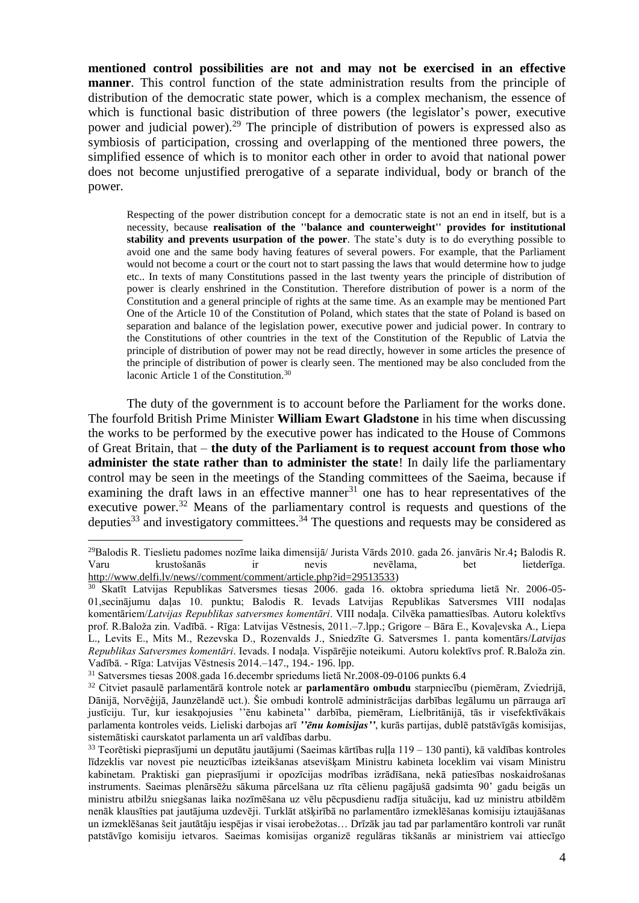**mentioned control possibilities are not and may not be exercised in an effective manner**. This control function of the state administration results from the principle of distribution of the democratic state power, which is a complex mechanism, the essence of which is functional basic distribution of three powers (the legislator's power, executive power and judicial power).<sup>29</sup> The principle of distribution of powers is expressed also as symbiosis of participation, crossing and overlapping of the mentioned three powers, the simplified essence of which is to monitor each other in order to avoid that national power does not become unjustified prerogative of a separate individual, body or branch of the power.

Respecting of the power distribution concept for a democratic state is not an end in itself, but is a necessity, because **realisation of the ''balance and counterweight'' provides for institutional stability and prevents usurpation of the power**. The state's duty is to do everything possible to avoid one and the same body having features of several powers. For example, that the Parliament would not become a court or the court not to start passing the laws that would determine how to judge etc.. In texts of many Constitutions passed in the last twenty years the principle of distribution of power is clearly enshrined in the Constitution. Therefore distribution of power is a norm of the Constitution and a general principle of rights at the same time. As an example may be mentioned Part One of the Article 10 of the Constitution of Poland, which states that the state of Poland is based on separation and balance of the legislation power, executive power and judicial power. In contrary to the Constitutions of other countries in the text of the Constitution of the Republic of Latvia the principle of distribution of power may not be read directly, however in some articles the presence of the principle of distribution of power is clearly seen. The mentioned may be also concluded from the laconic Article 1 of the Constitution. 30

The duty of the government is to account before the Parliament for the works done. The fourfold British Prime Minister **William Ewart Gladstone** in his time when discussing the works to be performed by the executive power has indicated to the House of Commons of Great Britain, that – **the duty of the Parliament is to request account from those who administer the state rather than to administer the state**! In daily life the parliamentary control may be seen in the meetings of the Standing committees of the Saeima, because if examining the draft laws in an effective manner<sup>31</sup> one has to hear representatives of the executive power.<sup>32</sup> Means of the parliamentary control is requests and questions of the deputies<sup>33</sup> and investigatory committees.<sup>34</sup> The questions and requests may be considered as

<sup>29</sup>Balodis R. Tieslietu padomes nozīme laika dimensijā/ Jurista Vārds 2010. gada 26. janvāris Nr.4**;** Balodis R. Varu krustošanās ir nevis nevēlama, bet lietderīga. [http://www.delfi.lv/news//comment/comment/article.php?id=29513533\)](http://www.delfi.lv/news/comment/comment/article.php?id=29513533)

<sup>30</sup> Skatīt Latvijas Republikas Satversmes tiesas 2006. gada 16. oktobra sprieduma lietā Nr. 2006-05- 01,secinājumu daļas 10. punktu; Balodis R. Ievads Latvijas Republikas Satversmes VIII nodaļas komentāriem/*Latvijas Republikas satversmes komentāri*. VIII nodaļa. Cilvēka pamattiesības. Autoru kolektīvs prof. R.Baloža zin. Vadībā. - Rīga: Latvijas Vēstnesis, 2011.–7.lpp.; Grigore – Bāra E., Kovaļevska A., Liepa L., Levits E., Mits M., Rezevska D., Rozenvalds J., Sniedzīte G. Satversmes 1. panta komentārs/*Latvijas Republikas Satversmes komentāri*. Ievads. I nodaļa. Vispārējie noteikumi. Autoru kolektīvs prof. R.Baloža zin. Vadībā. - Rīga: Latvijas Vēstnesis 2014.–147., 194.- 196. lpp.

<sup>31</sup> Satversmes tiesas 2008.gada 16.decembr spriedums lietā Nr.2008-09-0106 punkts 6.4

<sup>32</sup> Citviet pasaulē parlamentārā kontrole notek ar **parlamentāro ombudu** starpniecību (piemēram, Zviedrijā, Dānijā, Norvēģijā, Jaunzēlandē uct.). Šie ombudi kontrolē administrācijas darbības legālumu un pārrauga arī justīciju. Tur, kur iesakņojusies ''ēnu kabineta'' darbība, piemēram, Lielbritānijā, tās ir visefektīvākais parlamenta kontroles veids. Lieliski darbojas arī *''ēnu komisijas''*, kurās partijas, dublē patstāvīgās komisijas, sistemātiski caurskatot parlamenta un arī valdības darbu.

 $33$  Teorētiski pieprasījumi un deputātu jautājumi (Saeimas kārtības rulla 119 – 130 panti), kā valdības kontroles līdzeklis var novest pie neuzticības izteikšanas atsevišķam Ministru kabineta loceklim vai visam Ministru kabinetam. Praktiski gan pieprasījumi ir opozīcijas modrības izrādīšana, nekā patiesības noskaidrošanas instruments. Saeimas plenārsēžu sākuma pārcelšana uz rīta cēlienu pagājušā gadsimta 90' gadu beigās un ministru atbilžu sniegšanas laika nozīmēšana uz vēlu pēcpusdienu radīja situāciju, kad uz ministru atbildēm nenāk klausīties pat jautājuma uzdevēji. Turklāt atšķirībā no parlamentāro izmeklēšanas komisiju iztaujāšanas un izmeklēšanas šeit jautātāju iespējas ir visai ierobežotas… Drīzāk jau tad par parlamentāro kontroli var runāt patstāvīgo komisiju ietvaros. Saeimas komisijas organizē regulāras tikšanās ar ministriem vai attiecīgo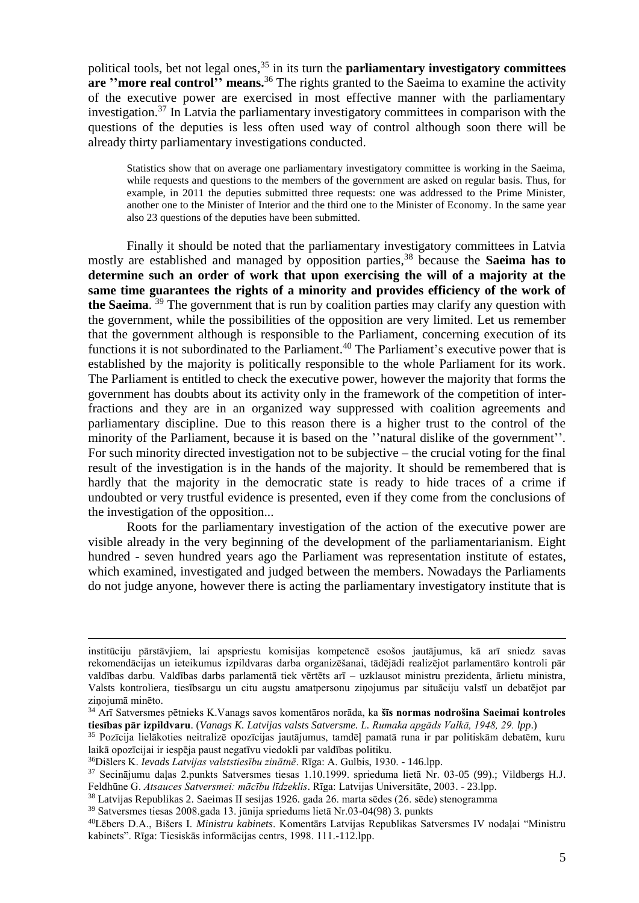political tools, bet not legal ones, <sup>35</sup> in its turn the **parliamentary investigatory committees are ''more real control'' means.** <sup>36</sup> The rights granted to the Saeima to examine the activity of the executive power are exercised in most effective manner with the parliamentary investigation. <sup>37</sup> In Latvia the parliamentary investigatory committees in comparison with the questions of the deputies is less often used way of control although soon there will be already thirty parliamentary investigations conducted.

Statistics show that on average one parliamentary investigatory committee is working in the Saeima, while requests and questions to the members of the government are asked on regular basis. Thus, for example, in 2011 the deputies submitted three requests: one was addressed to the Prime Minister, another one to the Minister of Interior and the third one to the Minister of Economy. In the same year also 23 questions of the deputies have been submitted.

Finally it should be noted that the parliamentary investigatory committees in Latvia mostly are established and managed by opposition parties, <sup>38</sup> because the **Saeima has to determine such an order of work that upon exercising the will of a majority at the same time guarantees the rights of a minority and provides efficiency of the work of the Saeima**. <sup>39</sup> The government that is run by coalition parties may clarify any question with the government, while the possibilities of the opposition are very limited. Let us remember that the government although is responsible to the Parliament, concerning execution of its functions it is not subordinated to the Parliament.<sup>40</sup> The Parliament's executive power that is established by the majority is politically responsible to the whole Parliament for its work. The Parliament is entitled to check the executive power, however the majority that forms the government has doubts about its activity only in the framework of the competition of interfractions and they are in an organized way suppressed with coalition agreements and parliamentary discipline. Due to this reason there is a higher trust to the control of the minority of the Parliament, because it is based on the ''natural dislike of the government''*.* For such minority directed investigation not to be subjective – the crucial voting for the final result of the investigation is in the hands of the majority. It should be remembered that is hardly that the majority in the democratic state is ready to hide traces of a crime if undoubted or very trustful evidence is presented, even if they come from the conclusions of the investigation of the opposition...

Roots for the parliamentary investigation of the action of the executive power are visible already in the very beginning of the development of the parliamentarianism. Eight hundred - seven hundred years ago the Parliament was representation institute of estates, which examined, investigated and judged between the members. Nowadays the Parliaments do not judge anyone, however there is acting the parliamentary investigatory institute that is

institūciju pārstāvjiem, lai apspriestu komisijas kompetencē esošos jautājumus, kā arī sniedz savas rekomendācijas un ieteikumus izpildvaras darba organizēšanai, tādējādi realizējot parlamentāro kontroli pār valdības darbu. Valdības darbs parlamentā tiek vērtēts arī – uzklausot ministru prezidenta, ārlietu ministra, Valsts kontroliera, tiesībsargu un citu augstu amatpersonu ziņojumus par situāciju valstī un debatējot par zinojumā minēto.

<sup>34</sup> Arī Satversmes pētnieks K.Vanags savos komentāros norāda, ka **šīs normas nodrošina Saeimai kontroles tiesības pār izpildvaru**. (*Vanags K. Latvijas valsts Satversme. L. Rumaka apgāds Valkā, 1948, 29. lpp*.)

<sup>35</sup> Pozīcija lielākoties neitralizē opozīcijas jautājumus, tamdēļ pamatā runa ir par politiskām debatēm, kuru laikā opozīcijai ir iespēja paust negatīvu viedokli par valdības politiku.

<sup>36</sup>Dišlers K. *Ievads Latvijas valststiesību zinātnē*. Rīga: A. Gulbis, 1930. - 146.lpp.

<sup>37</sup> Secinājumu daļas 2.punkts Satversmes tiesas 1.10.1999. sprieduma lietā Nr. 03-05 (99).; Vildbergs H.J. Feldhūne G. *Atsauces Satversmei: mācību līdzeklis*. Rīga: Latvijas Universitāte, 2003. - 23.lpp.

<sup>38</sup> Latvijas Republikas 2. Saeimas II sesijas 1926. gada 26. marta sēdes (26. sēde) stenogramma

<sup>39</sup> Satversmes tiesas 2008.gada 13. jūnija spriedums lietā Nr.03-04(98) 3. punkts

<sup>40</sup>Lēbers D.A., Bišers I. *Ministru kabinets*. Komentārs Latvijas Republikas Satversmes IV nodaļai "Ministru kabinets". Rīga: Tiesiskās informācijas centrs, 1998. 111.-112.lpp.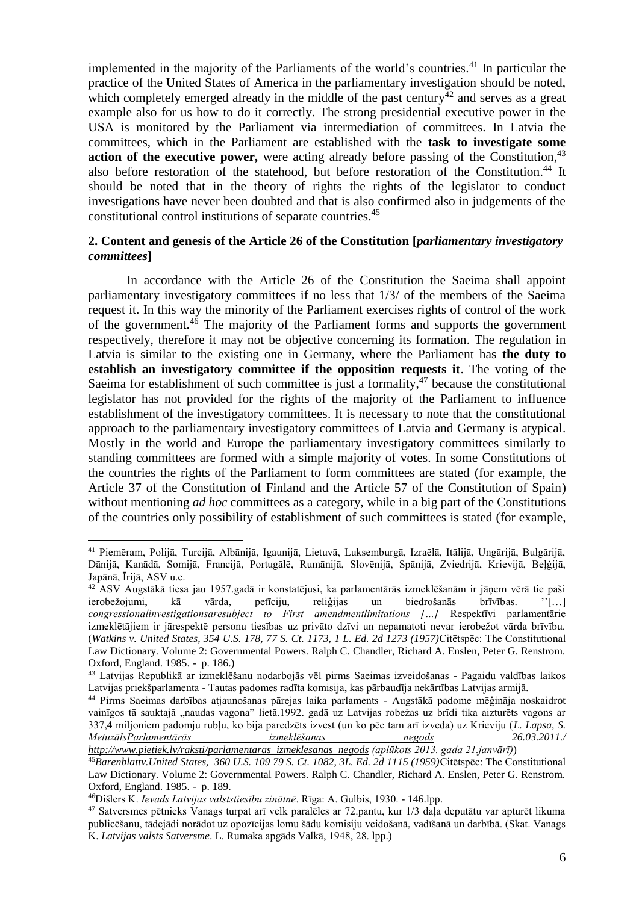implemented in the majority of the Parliaments of the world's countries. <sup>41</sup> In particular the practice of the United States of America in the parliamentary investigation should be noted, which completely emerged already in the middle of the past century<sup>42</sup> and serves as a great example also for us how to do it correctly. The strong presidential executive power in the USA is monitored by the Parliament via intermediation of committees. In Latvia the committees, which in the Parliament are established with the **task to investigate some**  action of the executive power, were acting already before passing of the Constitution,<sup>43</sup> also before restoration of the statehood, but before restoration of the Constitution. <sup>44</sup> It should be noted that in the theory of rights the rights of the legislator to conduct investigations have never been doubted and that is also confirmed also in judgements of the constitutional control institutions of separate countries. 45

## **2. Content and genesis of the Article 26 of the Constitution [***parliamentary investigatory committees***]**

In accordance with the Article 26 of the Constitution the Saeima shall appoint parliamentary investigatory committees if no less that 1/3/ of the members of the Saeima request it. In this way the minority of the Parliament exercises rights of control of the work of the government.<sup>46</sup> The majority of the Parliament forms and supports the government respectively, therefore it may not be objective concerning its formation. The regulation in Latvia is similar to the existing one in Germany, where the Parliament has **the duty to establish an investigatory committee if the opposition requests it**. The voting of the Saeima for establishment of such committee is just a formality, $47$  because the constitutional legislator has not provided for the rights of the majority of the Parliament to influence establishment of the investigatory committees. It is necessary to note that the constitutional approach to the parliamentary investigatory committees of Latvia and Germany is atypical. Mostly in the world and Europe the parliamentary investigatory committees similarly to standing committees are formed with a simple majority of votes. In some Constitutions of the countries the rights of the Parliament to form committees are stated (for example, the Article 37 of the Constitution of Finland and the Article 57 of the Constitution of Spain) without mentioning *ad hoc* committees as a category, while in a big part of the Constitutions of the countries only possibility of establishment of such committees is stated (for example,

<sup>41</sup> Piemēram, Polijā, Turcijā, Albānijā, Igaunijā, Lietuvā, Luksemburgā, Izraēlā, Itālijā, Ungārijā, Bulgārijā, Dānijā, Kanādā, Somijā, Francijā, Portugālē, Rumānijā, Slovēnijā, Spānijā, Zviedrijā, Krievijā, Beļģijā, Japānā, Īrijā, ASV u.c.

<sup>42</sup> ASV Augstākā tiesa jau 1957.gadā ir konstatējusi, ka parlamentārās izmeklēšanām ir jāņem vērā tie paši ierobežojumi, kā vārda, petīciju, reliģijas un biedrošanās brīvības. ''[…] *congressionalinvestigationsaresubject to First amendmentlimitations […]* Respektīvi parlamentārie izmeklētājiem ir jārespektē personu tiesības uz privāto dzīvi un nepamatoti nevar ierobežot vārda brīvību. (*Watkins v. United States, 354 U.S. 178, 77 S. Ct. 1173, 1 L. Ed. 2d 1273 (1957)*Citētspēc: The Constitutional Law Dictionary. Volume 2: Governmental Powers. Ralph C. Chandler, Richard A. Enslen, Peter G. Renstrom. Oxford, England. 1985. - p. 186.)

<sup>43</sup> Latvijas Republikā ar izmeklēšanu nodarbojās vēl pirms Saeimas izveidošanas - Pagaidu valdības laikos Latvijas priekšparlamenta - Tautas padomes radīta komisija, kas pārbaudīja nekārtības Latvijas armijā.

<sup>44</sup> Pirms Saeimas darbības atjaunošanas pārejas laika parlaments - Augstākā padome mēģināja noskaidrot vainīgos tā sauktajā "naudas vagona" lietā.1992. gadā uz Latvijas robežas uz brīdi tika aizturēts vagons ar 337,4 miljoniem padomju rubļu, ko bija paredzēts izvest (un ko pēc tam arī izveda) uz Krieviju (*L. Lapsa, S. Metuzāl[sParlamentārās izmeklēšanas negods](http://www.pietiek.com/raksti/parlamentaras_izmeklesanas_negods) 26.03.2011./* 

*[http://www.pietiek.lv/raksti/parlamentaras\\_izmeklesanas\\_negods](http://www.pietiek.lv/raksti/parlamentaras_izmeklesanas_negods) (aplūkots 2013. gada 21.janvārī)*)

<sup>45</sup>*Barenblattv.United States, 360 U.S. 109 79 S. Ct. 1082, 3L. Ed. 2d 1115 (1959)*Citētspēc: The Constitutional Law Dictionary. Volume 2: Governmental Powers. Ralph C. Chandler, Richard A. Enslen, Peter G. Renstrom. Oxford, England. 1985. - p. 189.

<sup>46</sup>Dišlers K. *Ievads Latvijas valststiesību zinātnē*. Rīga: A. Gulbis, 1930. - 146.lpp.

<sup>47</sup> Satversmes pētnieks Vanags turpat arī velk paralēles ar 72.pantu, kur 1/3 daļa deputātu var apturēt likuma publicēšanu, tādejādi norādot uz opozīcijas lomu šādu komisiju veidošanā, vadīšanā un darbībā. (Skat. Vanags K. *Latvijas valsts Satversme*. L. Rumaka apgāds Valkā, 1948, 28. lpp.)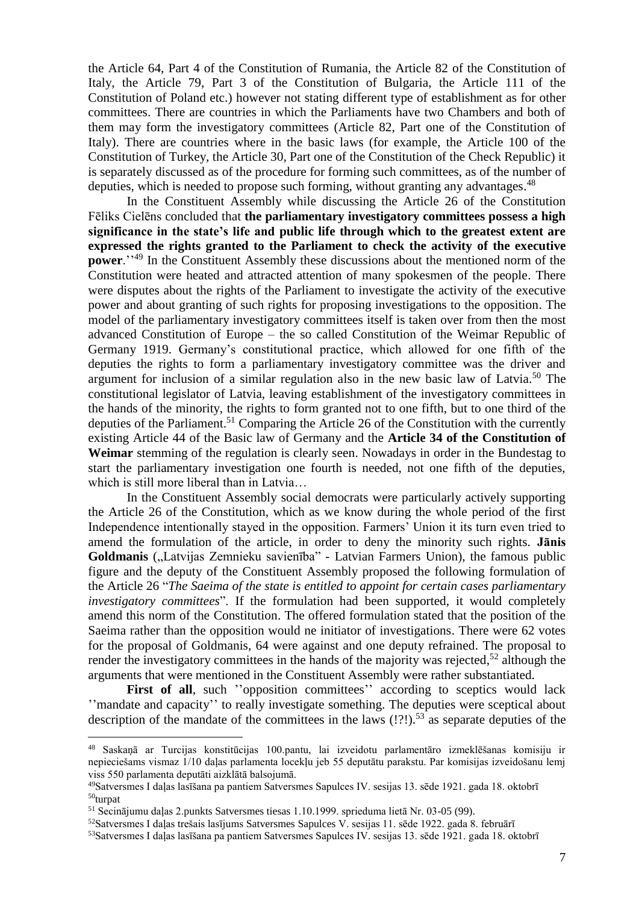the Article 64, Part 4 of the Constitution of Rumania, the Article 82 of the Constitution of Italy, the Article 79, Part 3 of the Constitution of Bulgaria, the Article 111 of the Constitution of Poland etc.) however not stating different type of establishment as for other committees. There are countries in which the Parliaments have two Chambers and both of them may form the investigatory committees (Article 82, Part one of the Constitution of Italy). There are countries where in the basic laws (for example, the Article 100 of the Constitution of Turkey, the Article 30, Part one of the Constitution of the Check Republic) it is separately discussed as of the procedure for forming such committees, as of the number of deputies, which is needed to propose such forming, without granting any advantages.<sup>48</sup>

In the Constituent Assembly while discussing the Article 26 of the Constitution Fēliks Cielēns concluded that **the parliamentary investigatory committees possess a high significance in the state's life and public life through which to the greatest extent are expressed the rights granted to the Parliament to check the activity of the executive power**.<sup>''49</sup> In the Constituent Assembly these discussions about the mentioned norm of the Constitution were heated and attracted attention of many spokesmen of the people. There were disputes about the rights of the Parliament to investigate the activity of the executive power and about granting of such rights for proposing investigations to the opposition. The model of the parliamentary investigatory committees itself is taken over from then the most advanced Constitution of Europe – the so called Constitution of the Weimar Republic of Germany 1919. Germany's constitutional practice, which allowed for one fifth of the deputies the rights to form a parliamentary investigatory committee was the driver and argument for inclusion of a similar regulation also in the new basic law of Latvia. <sup>50</sup> The constitutional legislator of Latvia, leaving establishment of the investigatory committees in the hands of the minority, the rights to form granted not to one fifth, but to one third of the deputies of the Parliament.<sup>51</sup> Comparing the Article 26 of the Constitution with the currently existing Article 44 of the Basic law of Germany and the **Article 34 of the Constitution of Weimar** stemming of the regulation is clearly seen. Nowadays in order in the Bundestag to start the parliamentary investigation one fourth is needed, not one fifth of the deputies, which is still more liberal than in Latvia…

In the Constituent Assembly social democrats were particularly actively supporting the Article 26 of the Constitution, which as we know during the whole period of the first Independence intentionally stayed in the opposition. Farmers' Union it its turn even tried to amend the formulation of the article, in order to deny the minority such rights. **Jānis**  Goldmanis ("Latvijas Zemnieku savienība" - Latvian Farmers Union), the famous public figure and the deputy of the Constituent Assembly proposed the following formulation of the Article 26 "*The Saeima of the state is entitled to appoint for certain cases parliamentary investigatory committees*". If the formulation had been supported, it would completely amend this norm of the Constitution. The offered formulation stated that the position of the Saeima rather than the opposition would ne initiator of investigations. There were 62 votes for the proposal of Goldmanis, 64 were against and one deputy refrained. The proposal to render the investigatory committees in the hands of the majority was rejected,<sup>52</sup> although the arguments that were mentioned in the Constituent Assembly were rather substantiated.

First of all, such "opposition committees" according to sceptics would lack ''mandate and capacity'' to really investigate something. The deputies were sceptical about description of the mandate of the committees in the laws  $($ ! $?$ ! $)$ .<sup>53</sup> as separate deputies of the

<sup>48</sup> Saskaņā ar Turcijas konstitūcijas 100.pantu, lai izveidotu parlamentāro izmeklēšanas komisiju ir nepieciešams vismaz 1/10 daļas parlamenta locekļu jeb 55 deputātu parakstu. Par komisijas izveidošanu lemj viss 550 parlamenta deputāti aizklātā balsojumā.

<sup>49</sup>Satversmes I daļas lasīšana pa pantiem Satversmes Sapulces IV. sesijas 13. sēde 1921. gada 18. oktobrī <sup>50</sup>turpat

<sup>51</sup> Secinājumu daļas 2.punkts Satversmes tiesas 1.10.1999. sprieduma lietā Nr. 03-05 (99).

<sup>&</sup>lt;sup>52</sup>Satversmes I daļas trešais lasījums Satversmes Sapulces V. sesijas 11. sēde 1922. gada 8. februārī

<sup>53</sup>Satversmes I daļas lasīšana pa pantiem Satversmes Sapulces IV. sesijas 13. sēde 1921. gada 18. oktobrī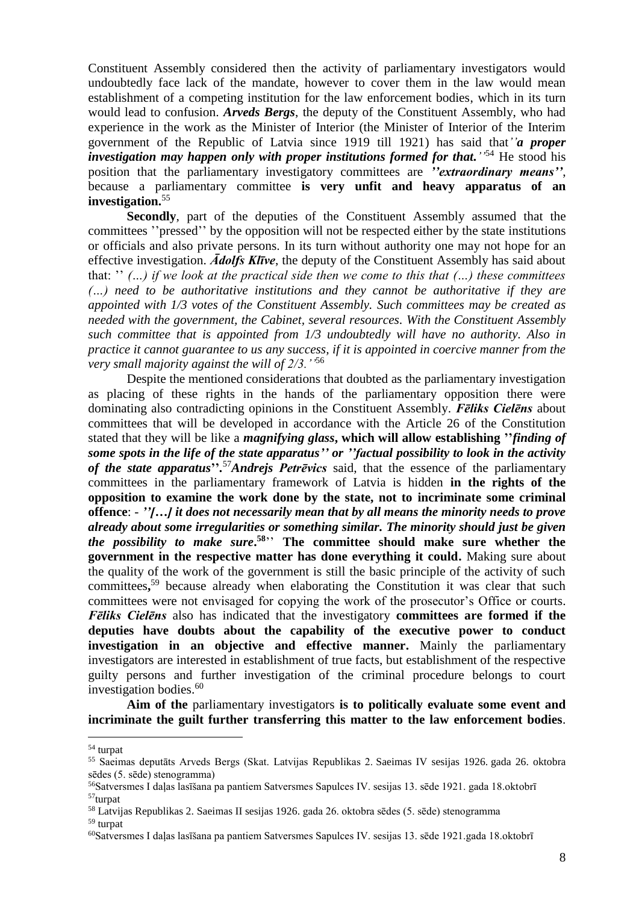Constituent Assembly considered then the activity of parliamentary investigators would undoubtedly face lack of the mandate, however to cover them in the law would mean establishment of a competing institution for the law enforcement bodies, which in its turn would lead to confusion. *Arveds Bergs*, the deputy of the Constituent Assembly, who had experience in the work as the Minister of Interior (the Minister of Interior of the Interim government of the Republic of Latvia since 1919 till 1921) has said that*''a proper investigation may happen only with proper institutions formed for that.''* <sup>54</sup> He stood his position that the parliamentary investigatory committees are *''extraordinary means''*, because a parliamentary committee **is very unfit and heavy apparatus of an investigation.**<sup>55</sup>

**Secondly**, part of the deputies of the Constituent Assembly assumed that the committees ''pressed'' by the opposition will not be respected either by the state institutions or officials and also private persons. In its turn without authority one may not hope for an effective investigation. *Ādolfs Klīve*, the deputy of the Constituent Assembly has said about that: '' *(…) if we look at the practical side then we come to this that (…) these committees (…) need to be authoritative institutions and they cannot be authoritative if they are appointed with 1/3 votes of the Constituent Assembly. Such committees may be created as needed with the government, the Cabinet, several resources. With the Constituent Assembly such committee that is appointed from 1/3 undoubtedly will have no authority. Also in practice it cannot guarantee to us any success, if it is appointed in coercive manner from the very small majority against the will of 2/3.''*<sup>56</sup>

Despite the mentioned considerations that doubted as the parliamentary investigation as placing of these rights in the hands of the parliamentary opposition there were dominating also contradicting opinions in the Constituent Assembly. *Fēliks Cielēns* about committees that will be developed in accordance with the Article 26 of the Constitution stated that they will be like a *magnifying glass***, which will allow establishing ''***finding of some spots in the life of the state apparatus'' or ''factual possibility to look in the activity of the state apparatus***''***.* <sup>57</sup>*Andrejs Petrēvics* said, that the essence of the parliamentary committees in the parliamentary framework of Latvia is hidden **in the rights of the opposition to examine the work done by the state, not to incriminate some criminal offence**: - *''[…] it does not necessarily mean that by all means the minority needs to prove already about some irregularities or something similar. The minority should just be given the possibility to make sure***. <sup>58</sup>**'' **The committee should make sure whether the government in the respective matter has done everything it could.** Making sure about the quality of the work of the government is still the basic principle of the activity of such committees**,** <sup>59</sup> because already when elaborating the Constitution it was clear that such committees were not envisaged for copying the work of the prosecutor's Office or courts. *Fēliks Cielēns* also has indicated that the investigatory **committees are formed if the deputies have doubts about the capability of the executive power to conduct investigation in an objective and effective manner.** Mainly the parliamentary investigators are interested in establishment of true facts, but establishment of the respective guilty persons and further investigation of the criminal procedure belongs to court investigation bodies. 60

**Aim of the** parliamentary investigators **is to politically evaluate some event and incriminate the guilt further transferring this matter to the law enforcement bodies**.

<sup>54</sup> turpat

<sup>55</sup> Saeimas deputāts Arveds Bergs (Skat. Latvijas Republikas 2. Saeimas IV sesijas 1926. gada 26. oktobra sēdes (5. sēde) stenogramma)

<sup>&</sup>lt;sup>56</sup>Satversmes I daļas lasīšana pa pantiem Satversmes Sapulces IV. sesijas 13. sēde 1921. gada 18. oktobrī <sup>57</sup>turpat

<sup>58</sup> Latvijas Republikas 2. Saeimas II sesijas 1926. gada 26. oktobra sēdes (5. sēde) stenogramma

<sup>59</sup> turpat

<sup>60</sup>Satversmes I daļas lasīšana pa pantiem Satversmes Sapulces IV. sesijas 13. sēde 1921.gada 18.oktobrī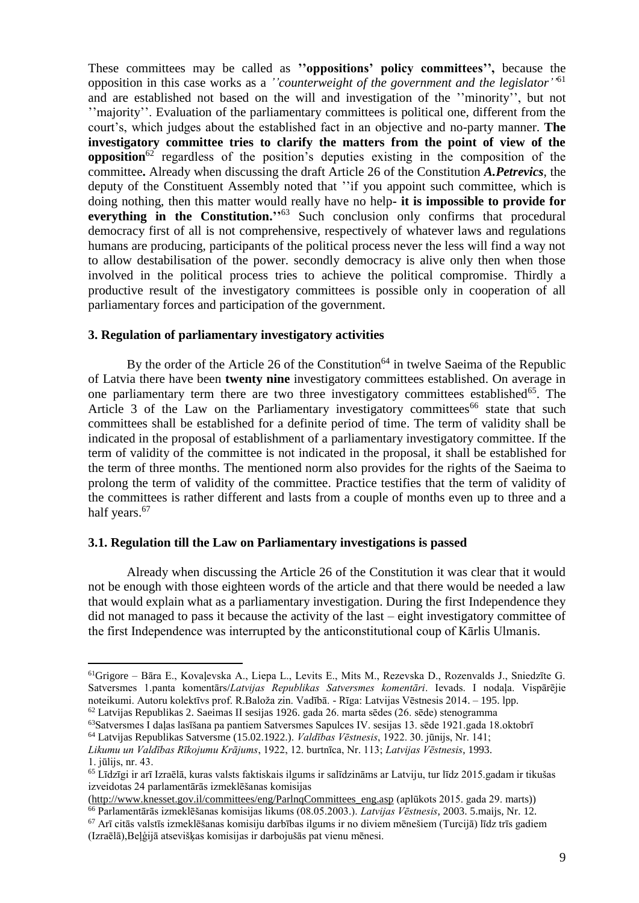These committees may be called as **''oppositions' policy committees'',** because the opposition in this case works as a *''counterweight of the government and the legislator''* 61 and are established not based on the will and investigation of the ''minority'', but not ''majority''. Evaluation of the parliamentary committees is political one, different from the court's, which judges about the established fact in an objective and no-party manner. **The investigatory committee tries to clarify the matters from the point of view of the opposition**<sup>62</sup> regardless of the position's deputies existing in the composition of the committee**.** Already when discussing the draft Article 26 of the Constitution *A.Petrevics*, the deputy of the Constituent Assembly noted that ''if you appoint such committee, which is doing nothing, then this matter would really have no help**- it is impossible to provide for**  everything in the Constitution."<sup>63</sup> Such conclusion only confirms that procedural democracy first of all is not comprehensive, respectively of whatever laws and regulations humans are producing, participants of the political process never the less will find a way not to allow destabilisation of the power. secondly democracy is alive only then when those involved in the political process tries to achieve the political compromise. Thirdly a productive result of the investigatory committees is possible only in cooperation of all parliamentary forces and participation of the government.

## **3. Regulation of parliamentary investigatory activities**

By the order of the Article 26 of the Constitution<sup>64</sup> in twelve Saeima of the Republic of Latvia there have been **twenty nine** investigatory committees established. On average in one parliamentary term there are two three investigatory committees established $65$ . The Article 3 of the Law on the Parliamentary investigatory committees<sup>66</sup> state that such committees shall be established for a definite period of time. The term of validity shall be indicated in the proposal of establishment of a parliamentary investigatory committee. If the term of validity of the committee is not indicated in the proposal, it shall be established for the term of three months. The mentioned norm also provides for the rights of the Saeima to prolong the term of validity of the committee. Practice testifies that the term of validity of the committees is rather different and lasts from a couple of months even up to three and a half years.<sup>67</sup>

#### **3.1. Regulation till the Law on Parliamentary investigations is passed**

 $\overline{a}$ 

Already when discussing the Article 26 of the Constitution it was clear that it would not be enough with those eighteen words of the article and that there would be needed a law that would explain what as a parliamentary investigation. During the first Independence they did not managed to pass it because the activity of the last – eight investigatory committee of the first Independence was interrupted by the anticonstitutional coup of Kārlis Ulmanis.

<sup>61</sup>Grigore – Bāra E., Kovaļevska A., Liepa L., Levits E., Mits M., Rezevska D., Rozenvalds J., Sniedzīte G. Satversmes 1.panta komentārs/*Latvijas Republikas Satversmes komentāri*. Ievads. I nodaļa. Vispārējie noteikumi. Autoru kolektīvs prof. R.Baloža zin. Vadībā. - Rīga: Latvijas Vēstnesis 2014. – 195. lpp. <sup>62</sup> Latvijas Republikas 2. Saeimas II sesijas 1926. gada 26. marta sēdes (26. sēde) stenogramma

<sup>&</sup>lt;sup>63</sup>Satversmes I daļas lasīšana pa pantiem Satversmes Sapulces IV. sesijas 13. sēde 1921.gada 18.oktobrī

<sup>64</sup> Latvijas Republikas Satversme (15.02.1922.). *Valdības Vēstnesis*, 1922. 30. jūnijs, Nr. 141;

*Likumu un Valdības Rīkojumu Krājums*, 1922, 12. burtnīca, Nr. 113; *Latvijas Vēstnesis*, 1993. 1. jūlijs, nr. 43.

<sup>65</sup> Līdzīgi ir arī Izraēlā, kuras valsts faktiskais ilgums ir salīdzināms ar Latviju, tur līdz 2015.gadam ir tikušas izveidotas 24 parlamentārās izmeklēšanas komisijas

[<sup>\(</sup>http://www.knesset.gov.il/committees/eng/ParlnqCommittees\\_eng.asp](http://www.knesset.gov.il/committees/eng/ParlnqCommittees_eng.asp) (aplūkots 2015. gada 29. marts))

<sup>66</sup> Parlamentārās izmeklēšanas komisijas likums (08.05.2003.). *Latvijas Vēstnesis*, 2003. 5.maijs, Nr. 12.

 $67$  Arī citās valstīs izmeklēšanas komisiju darbības ilgums ir no diviem mēnešiem (Turcijā) līdz trīs gadiem (Izraēlā),Beļģijā atsevišķas komisijas ir darbojušās pat vienu mēnesi.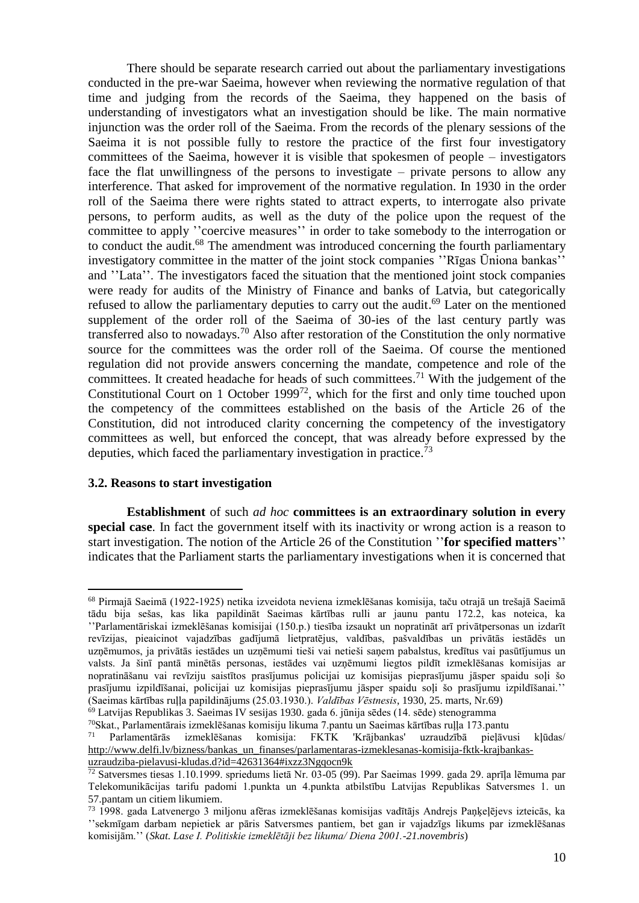There should be separate research carried out about the parliamentary investigations conducted in the pre-war Saeima, however when reviewing the normative regulation of that time and judging from the records of the Saeima, they happened on the basis of understanding of investigators what an investigation should be like. The main normative injunction was the order roll of the Saeima. From the records of the plenary sessions of the Saeima it is not possible fully to restore the practice of the first four investigatory committees of the Saeima, however it is visible that spokesmen of people – investigators face the flat unwillingness of the persons to investigate – private persons to allow any interference. That asked for improvement of the normative regulation. In 1930 in the order roll of the Saeima there were rights stated to attract experts, to interrogate also private persons, to perform audits, as well as the duty of the police upon the request of the committee to apply ''coercive measures'' in order to take somebody to the interrogation or to conduct the audit.<sup>68</sup> The amendment was introduced concerning the fourth parliamentary investigatory committee in the matter of the joint stock companies ''Rīgas Ūniona bankas'' and ''Lata''. The investigators faced the situation that the mentioned joint stock companies were ready for audits of the Ministry of Finance and banks of Latvia, but categorically refused to allow the parliamentary deputies to carry out the audit.<sup>69</sup> Later on the mentioned supplement of the order roll of the Saeima of 30-ies of the last century partly was transferred also to nowadays.<sup>70</sup> Also after restoration of the Constitution the only normative source for the committees was the order roll of the Saeima. Of course the mentioned regulation did not provide answers concerning the mandate, competence and role of the committees. It created headache for heads of such committees.<sup>71</sup> With the judgement of the Constitutional Court on 1 October 1999<sup>72</sup>, which for the first and only time touched upon the competency of the committees established on the basis of the Article 26 of the Constitution, did not introduced clarity concerning the competency of the investigatory committees as well, but enforced the concept, that was already before expressed by the deputies, which faced the parliamentary investigation in practice.<sup>73</sup>

#### **3.2. Reasons to start investigation**

**Establishment** of such *ad hoc* **committees is an extraordinary solution in every special case**. In fact the government itself with its inactivity or wrong action is a reason to start investigation. The notion of the Article 26 of the Constitution ''**for specified matters**'' indicates that the Parliament starts the parliamentary investigations when it is concerned that

 $\overline{a}$ <sup>68</sup> Pirmajā Saeimā (1922-1925) netika izveidota neviena izmeklēšanas komisija, taču otrajā un trešajā Saeimā tādu bija sešas, kas lika papildināt Saeimas kārtības rulli ar jaunu pantu 172.2, kas noteica, ka ''Parlamentāriskai izmeklēšanas komisijai (150.p.) tiesība izsaukt un nopratināt arī privātpersonas un izdarīt revīzijas, pieaicinot vajadzības gadījumā lietpratējus, valdības, pašvaldības un privātās iestādēs un uzņēmumos, ja privātās iestādes un uzņēmumi tieši vai netieši saņem pabalstus, kredītus vai pasūtījumus un valsts. Ja šinī pantā minētās personas, iestādes vai uzņēmumi liegtos pildīt izmeklēšanas komisijas ar nopratināšanu vai revīziju saistītos prasījumus policijai uz komisijas pieprasījumu jāsper spaidu soļi šo prasījumu izpildīšanai, policijai uz komisijas pieprasījumu jāsper spaidu soļi šo prasījumu izpildīšanai.'' (Saeimas kārtības ruļļa papildinājums (25.03.1930.). *Valdības Vēstnesis*, 1930, 25. marts, Nr.69)

<sup>&</sup>lt;sup>69</sup> Latvijas Republikas 3. Saeimas IV sesijas 1930. gada 6. jūnija sēdes (14. sēde) stenogramma

<sup>&</sup>lt;sup>70</sup>Skat., Parlamentārais izmeklēšanas komisiju likuma 7.pantu un Saeimas kārtības ruļļa 173.pantu<br><sup>71</sup> Parlamentārās izmeklēšanas komisija: EKTK Krājbankas' uzraudzībā pielāvu

<sup>71</sup> Parlamentārās izmeklēšanas komisija: FKTK 'Krājbankas' uzraudzībā pieļāvusi kļūdas/ [http://www.delfi.lv/bizness/bankas\\_un\\_finanses/parlamentaras-izmeklesanas-komisija-fktk-krajbankas](http://www.delfi.lv/bizness/bankas_un_finanses/parlamentaras-izmeklesanas-komisija-fktk-krajbankas-uzraudziba-pielavusi-kludas.d?id=42631364#ixzz3Ngqocn9k)[uzraudziba-pielavusi-kludas.d?id=42631364#ixzz3Ngqocn9k](http://www.delfi.lv/bizness/bankas_un_finanses/parlamentaras-izmeklesanas-komisija-fktk-krajbankas-uzraudziba-pielavusi-kludas.d?id=42631364#ixzz3Ngqocn9k)

<sup>72</sup> Satversmes tiesas 1.10.1999. spriedums lietā Nr. 03-05 (99). Par Saeimas 1999. gada 29. aprīļa lēmuma par Telekomunikācijas tarifu padomi 1.punkta un 4.punkta atbilstību Latvijas Republikas Satversmes 1. un 57.pantam un citiem likumiem.

<sup>73</sup> 1998. gada Latvenergo 3 miljonu afēras izmeklēšanas komisijas vadītājs Andrejs Paņķeļējevs izteicās, ka ''sekmīgam darbam nepietiek ar pāris Satversmes pantiem, bet gan ir vajadzīgs likums par izmeklēšanas komisijām.'' (*Skat. Lase I. Politiskie izmeklētāji bez likuma/ Diena 2001.-21.novembris*)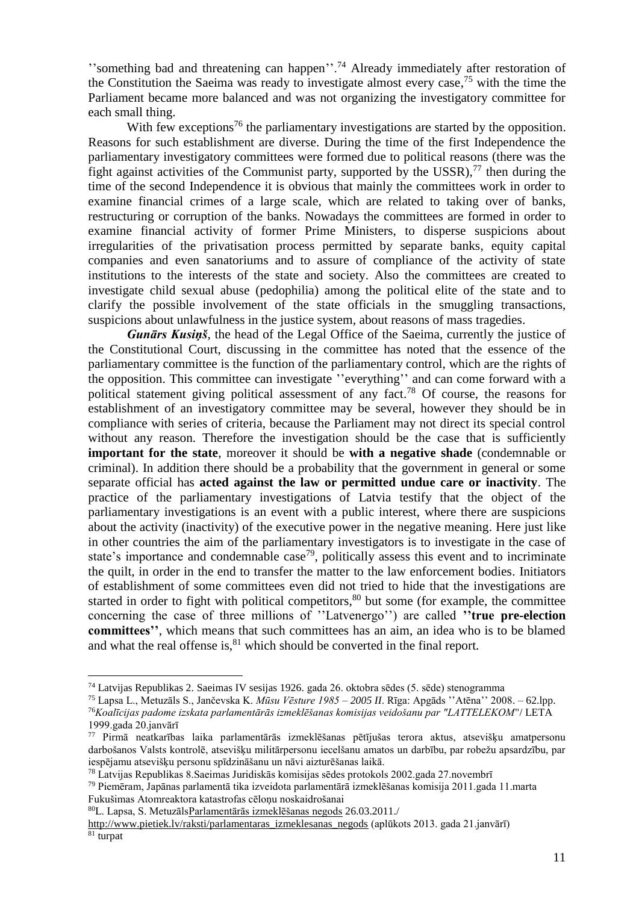''something bad and threatening can happen''.<sup>74</sup> Already immediately after restoration of the Constitution the Saeima was ready to investigate almost every case, <sup>75</sup> with the time the Parliament became more balanced and was not organizing the investigatory committee for each small thing.

With few exceptions<sup>76</sup> the parliamentary investigations are started by the opposition. Reasons for such establishment are diverse. During the time of the first Independence the parliamentary investigatory committees were formed due to political reasons (there was the fight against activities of the Communist party, supported by the USSR), $^{77}$  then during the time of the second Independence it is obvious that mainly the committees work in order to examine financial crimes of a large scale, which are related to taking over of banks, restructuring or corruption of the banks. Nowadays the committees are formed in order to examine financial activity of former Prime Ministers, to disperse suspicions about irregularities of the privatisation process permitted by separate banks, equity capital companies and even sanatoriums and to assure of compliance of the activity of state institutions to the interests of the state and society. Also the committees are created to investigate child sexual abuse (pedophilia) among the political elite of the state and to clarify the possible involvement of the state officials in the smuggling transactions, suspicions about unlawfulness in the justice system, about reasons of mass tragedies.

*Gunārs Kusiņš*, the head of the Legal Office of the Saeima, currently the justice of the Constitutional Court, discussing in the committee has noted that the essence of the parliamentary committee is the function of the parliamentary control, which are the rights of the opposition. This committee can investigate ''everything'' and can come forward with a political statement giving political assessment of any fact.<sup>78</sup> Of course, the reasons for establishment of an investigatory committee may be several, however they should be in compliance with series of criteria, because the Parliament may not direct its special control without any reason. Therefore the investigation should be the case that is sufficiently **important for the state**, moreover it should be **with a negative shade** (condemnable or criminal). In addition there should be a probability that the government in general or some separate official has **acted against the law or permitted undue care or inactivity**. The practice of the parliamentary investigations of Latvia testify that the object of the parliamentary investigations is an event with a public interest, where there are suspicions about the activity (inactivity) of the executive power in the negative meaning. Here just like in other countries the aim of the parliamentary investigators is to investigate in the case of state's importance and condemnable case<sup>79</sup>, politically assess this event and to incriminate the quilt, in order in the end to transfer the matter to the law enforcement bodies. Initiators of establishment of some committees even did not tried to hide that the investigations are started in order to fight with political competitors,<sup>80</sup> but some (for example, the committee concerning the case of three millions of ''Latvenergo'') are called **''true pre-election committees''**, which means that such committees has an aim, an idea who is to be blamed and what the real offense is, $81$  which should be converted in the final report.

<sup>74</sup> Latvijas Republikas 2. Saeimas IV sesijas 1926. gada 26. oktobra sēdes (5. sēde) stenogramma

<sup>75</sup> Lapsa L., Metuzāls S., Jančevska K. *Mūsu Vēsture 1985 – 2005 II*. Rīga: Apgāds ''Atēna'' 2008. – 62.lpp. <sup>76</sup>*Koalīcijas padome izskata parlamentārās izmeklēšanas komisijas veidošanu par "LATTELEKOM*"/ LETA 1999.gada 20.janvārī

<sup>77</sup> Pirmā neatkarības laika parlamentārās izmeklēšanas pētījušas terora aktus, atsevišķu amatpersonu darbošanos Valsts kontrolē, atsevišķu militārpersonu iecelšanu amatos un darbību, par robežu apsardzību, par iespējamu atsevišķu personu spīdzināšanu un nāvi aizturēšanas laikā.

<sup>78</sup> Latvijas Republikas 8.Saeimas Juridiskās komisijas sēdes protokols 2002.gada 27.novembrī

<sup>79</sup> Piemēram, Japānas parlamentā tika izveidota parlamentārā izmeklēšanas komisija 2011.gada 11.marta Fukušimas Atomreaktora katastrofas cēloņu noskaidrošanai

<sup>80</sup>L. Lapsa, S. Metuzāl[sParlamentārās izmeklēšanas negods](http://www.pietiek.com/raksti/parlamentaras_izmeklesanas_negods) 26.03.2011./

[http://www.pietiek.lv/raksti/parlamentaras\\_izmeklesanas\\_negods](http://www.pietiek.lv/raksti/parlamentaras_izmeklesanas_negods) (aplūkots 2013. gada 21.janvārī)  $81$  turpat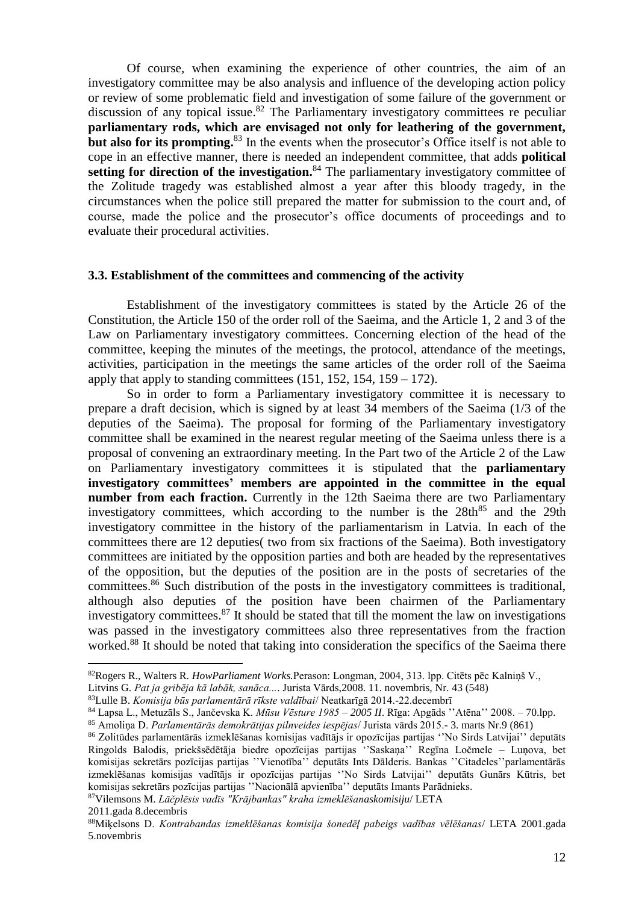Of course, when examining the experience of other countries, the aim of an investigatory committee may be also analysis and influence of the developing action policy or review of some problematic field and investigation of some failure of the government or discussion of any topical issue.<sup>82</sup> The Parliamentary investigatory committees re peculiar **parliamentary rods, which are envisaged not only for leathering of the government, but also for its prompting.**<sup>83</sup> In the events when the prosecutor's Office itself is not able to cope in an effective manner, there is needed an independent committee, that adds **political**  setting for direction of the investigation.<sup>84</sup> The parliamentary investigatory committee of the Zolitude tragedy was established almost a year after this bloody tragedy, in the circumstances when the police still prepared the matter for submission to the court and, of course, made the police and the prosecutor's office documents of proceedings and to evaluate their procedural activities.

### **3.3. Establishment of the committees and commencing of the activity**

Establishment of the investigatory committees is stated by the Article 26 of the Constitution, the Article 150 of the order roll of the Saeima, and the Article 1, 2 and 3 of the Law on Parliamentary investigatory committees. Concerning election of the head of the committee, keeping the minutes of the meetings, the protocol, attendance of the meetings, activities, participation in the meetings the same articles of the order roll of the Saeima apply that apply to standing committees  $(151, 152, 154, 159 - 172)$ .

So in order to form a Parliamentary investigatory committee it is necessary to prepare a draft decision, which is signed by at least 34 members of the Saeima (1/3 of the deputies of the Saeima). The proposal for forming of the Parliamentary investigatory committee shall be examined in the nearest regular meeting of the Saeima unless there is a proposal of convening an extraordinary meeting. In the Part two of the Article 2 of the Law on Parliamentary investigatory committees it is stipulated that the **parliamentary investigatory committees' members are appointed in the committee in the equal number from each fraction.** Currently in the 12th Saeima there are two Parliamentary investigatory committees, which according to the number is the  $28th<sup>85</sup>$  and the 29th investigatory committee in the history of the parliamentarism in Latvia. In each of the committees there are 12 deputies( two from six fractions of the Saeima). Both investigatory committees are initiated by the opposition parties and both are headed by the representatives of the opposition, but the deputies of the position are in the posts of secretaries of the committees.<sup>86</sup> Such distribution of the posts in the investigatory committees is traditional, although also deputies of the position have been chairmen of the Parliamentary investigatory committees. <sup>87</sup> It should be stated that till the moment the law on investigations was passed in the investigatory committees also three representatives from the fraction worked.<sup>88</sup> It should be noted that taking into consideration the specifics of the Saeima there

<sup>87</sup>Vilemsons M. *Lāčplēsis vadīs "Krājbankas" kraha izmeklēšanaskomisiju*/ LETA

<sup>82</sup>Rogers R., Walters R. *HowParliament Works.*Perason: Longman, 2004, 313. lpp. Citēts pēc Kalniņš V.,

Litvins G. *Pat ja gribēja kā labāk, sanāca...*. Jurista Vārds,2008. 11. novembris, Nr. 43 (548)

<sup>83</sup>Lulle B. *Komisija būs parlamentārā rīkste valdībai*/ Neatkarīgā 2014.-22.decembrī

<sup>84</sup> Lapsa L., Metuzāls S., Jančevska K. *Mūsu Vēsture 1985 – 2005 II*. Rīga: Apgāds ''Atēna'' 2008. – 70.lpp.

<sup>85</sup> Amoliņa D. *Parlamentārās demokrātijas pilnveides iespējas*/ Jurista vārds 2015.- 3. marts Nr.9 (861)

<sup>86</sup> Zolitūdes parlamentārās izmeklēšanas komisijas vadītājs ir opozīcijas partijas ''No Sirds Latvijai'' deputāts Ringolds Balodis, priekšsēdētāja biedre opozīcijas partijas ''Saskaņa'' Regīna Ločmele – Luņova, bet komisijas sekretārs pozīcijas partijas ''Vienotība'' deputāts Ints Dālderis. Bankas ''Citadeles''parlamentārās izmeklēšanas komisijas vadītājs ir opozīcijas partijas ''No Sirds Latvijai'' deputāts Gunārs Kūtris, bet komisijas sekretārs pozīcijas partijas ''Nacionālā apvienība'' deputāts Imants Parādnieks.

<sup>2011.</sup>gada 8.decembris

<sup>88</sup>Miķelsons D. *Kontrabandas izmeklēšanas komisija šonedēļ pabeigs vadības vēlēšanas*/ LETA 2001.gada 5.novembris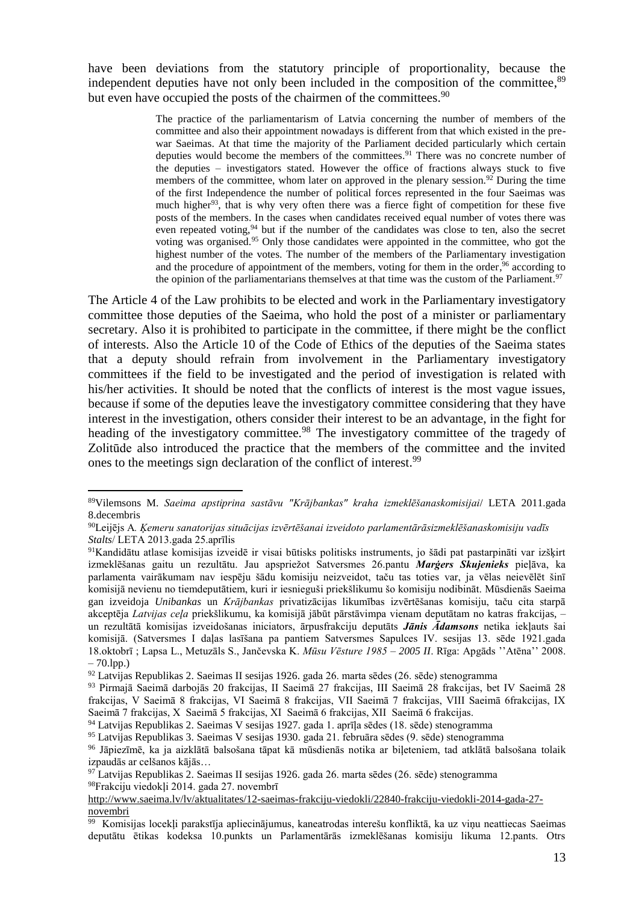have been deviations from the statutory principle of proportionality, because the independent deputies have not only been included in the composition of the committee,<sup>89</sup> but even have occupied the posts of the chairmen of the committees.<sup>90</sup>

> The practice of the parliamentarism of Latvia concerning the number of members of the committee and also their appointment nowadays is different from that which existed in the prewar Saeimas. At that time the majority of the Parliament decided particularly which certain deputies would become the members of the committees. <sup>91</sup> There was no concrete number of the deputies – investigators stated. However the office of fractions always stuck to five members of the committee, whom later on approved in the plenary session.<sup>92</sup> During the time of the first Independence the number of political forces represented in the four Saeimas was much higher<sup>93</sup>, that is why very often there was a fierce fight of competition for these five posts of the members. In the cases when candidates received equal number of votes there was even repeated voting,  $94$  but if the number of the candidates was close to ten, also the secret voting was organised.<sup>95</sup> Only those candidates were appointed in the committee, who got the highest number of the votes. The number of the members of the Parliamentary investigation and the procedure of appointment of the members, voting for them in the order,<sup>96</sup> according to the opinion of the parliamentarians themselves at that time was the custom of the Parliament.<sup>97</sup>

The Article 4 of the Law prohibits to be elected and work in the Parliamentary investigatory committee those deputies of the Saeima, who hold the post of a minister or parliamentary secretary. Also it is prohibited to participate in the committee, if there might be the conflict of interests. Also the Article 10 of the Code of Ethics of the deputies of the Saeima states that a deputy should refrain from involvement in the Parliamentary investigatory committees if the field to be investigated and the period of investigation is related with his/her activities. It should be noted that the conflicts of interest is the most vague issues, because if some of the deputies leave the investigatory committee considering that they have interest in the investigation, others consider their interest to be an advantage, in the fight for heading of the investigatory committee.<sup>98</sup> The investigatory committee of the tragedy of Zolitūde also introduced the practice that the members of the committee and the invited ones to the meetings sign declaration of the conflict of interest.<sup>99</sup>

<sup>89</sup>Vilemsons M. *Saeima apstiprina sastāvu "Krājbankas" kraha izmeklēšanaskomisijai*/ LETA 2011.gada 8.decembris

<sup>90</sup>Leijējs A*. Ķemeru sanatorijas situācijas izvērtēšanai izveidoto parlamentārāsizmeklēšanaskomisiju vadīs Stalts*/ LETA 2013.gada 25.aprīlis

<sup>91</sup>Kandidātu atlase komisijas izveidē ir visai būtisks politisks instruments, jo šādi pat pastarpināti var izšķirt izmeklēšanas gaitu un rezultātu. Jau apspriežot Satversmes 26.pantu *Marģers Skujenieks* pieļāva, ka parlamenta vairākumam nav iespēju šādu komisiju neizveidot, taču tas toties var, ja vēlas neievēlēt šinī komisijā nevienu no tiemdeputātiem, kuri ir iesnieguši priekšlikumu šo komisiju nodibināt. Mūsdienās Saeima gan izveidoja *Unibankas* un *Krājbankas* privatizācijas likumības izvērtēšanas komisiju, taču cita starpā akceptēja *Latvijas ceļa* priekšlikumu, ka komisijā jābūt pārstāvimpa vienam deputātam no katras frakcijas, – un rezultātā komisijas izveidošanas iniciators, ārpusfrakciju deputāts *Jānis Ādamsons* netika iekļauts šai komisijā. (Satversmes I daļas lasīšana pa pantiem Satversmes Sapulces IV. sesijas 13. sēde 1921.gada 18.oktobrī ; Lapsa L., Metuzāls S., Jančevska K. *Mūsu Vēsture 1985 – 2005 II*. Rīga: Apgāds ''Atēna'' 2008.  $-70.1$ pp.)

<sup>92</sup> Latvijas Republikas 2. Saeimas II sesijas 1926. gada 26. marta sēdes (26. sēde) stenogramma

<sup>93</sup> Pirmajā Saeimā darbojās 20 frakcijas, II Saeimā 27 frakcijas, III Saeimā 28 frakcijas, bet IV Saeimā 28 frakcijas, V Saeimā 8 frakcijas, VI Saeimā 8 frakcijas, VII Saeimā 7 frakcijas, VIII Saeimā 6frakcijas, IX Saeimā 7 frakcijas, X Saeimā 5 frakcijas, XI Saeimā 6 frakcijas, XII Saeimā 6 frakcijas.

<sup>94</sup> Latvijas Republikas 2. Saeimas V sesijas 1927. gada 1. aprīļa sēdes (18. sēde) stenogramma

<sup>95</sup> Latvijas Republikas 3. Saeimas V sesijas 1930. gada 21. februāra sēdes (9. sēde) stenogramma

<sup>96</sup> Jāpiezīmē, ka ja aizklātā balsošana tāpat kā mūsdienās notika ar biļeteniem, tad atklātā balsošana tolaik izpaudās ar celšanos kājās…

 $97$  Latvijas Republikas 2. Saeimas II sesijas 1926. gada 26. marta sēdes (26. sēde) stenogramma <sup>98</sup>Frakciju viedokļi 2014. gada 27. novembrī

[http://www.saeima.lv/lv/aktualitates/12-saeimas-frakciju-viedokli/22840-frakciju-viedokli-2014-gada-27](http://www.saeima.lv/lv/aktualitates/12-saeimas-frakciju-viedokli/22840-frakciju-viedokli-2014-gada-27-novembri) [novembri](http://www.saeima.lv/lv/aktualitates/12-saeimas-frakciju-viedokli/22840-frakciju-viedokli-2014-gada-27-novembri)

<sup>99</sup> Komisijas locekļi parakstīja apliecinājumus, kaneatrodas interešu konfliktā, ka uz viņu neattiecas Saeimas deputātu ētikas kodeksa 10.punkts un Parlamentārās izmeklēšanas komisiju likuma 12.pants. Otrs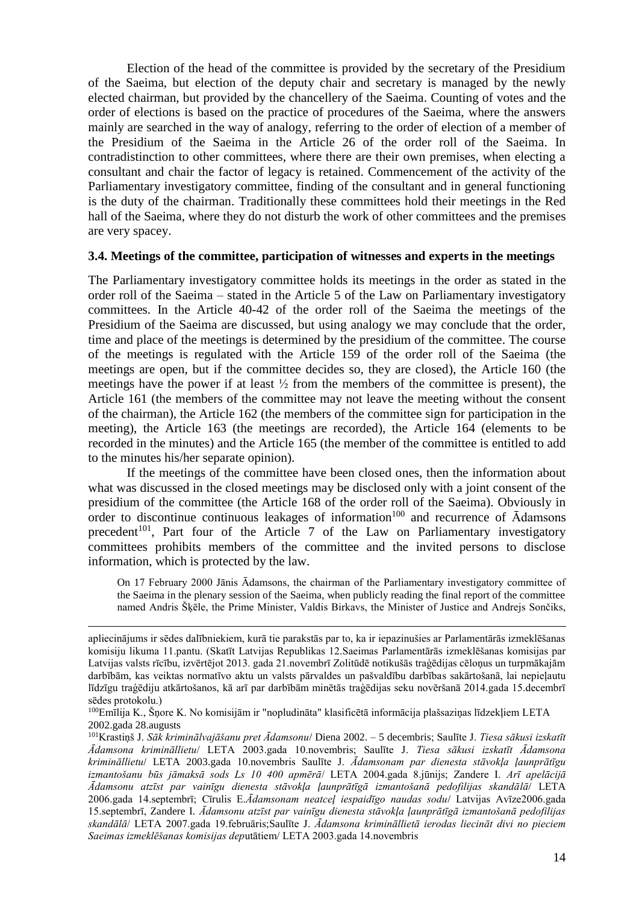Election of the head of the committee is provided by the secretary of the Presidium of the Saeima, but election of the deputy chair and secretary is managed by the newly elected chairman, but provided by the chancellery of the Saeima. Counting of votes and the order of elections is based on the practice of procedures of the Saeima, where the answers mainly are searched in the way of analogy, referring to the order of election of a member of the Presidium of the Saeima in the Article 26 of the order roll of the Saeima. In contradistinction to other committees, where there are their own premises, when electing a consultant and chair the factor of legacy is retained. Commencement of the activity of the Parliamentary investigatory committee, finding of the consultant and in general functioning is the duty of the chairman. Traditionally these committees hold their meetings in the Red hall of the Saeima, where they do not disturb the work of other committees and the premises are very spacey.

### **3.4. Meetings of the committee, participation of witnesses and experts in the meetings**

The Parliamentary investigatory committee holds its meetings in the order as stated in the order roll of the Saeima – stated in the Article 5 of the Law on Parliamentary investigatory committees. In the Article 40-42 of the order roll of the Saeima the meetings of the Presidium of the Saeima are discussed, but using analogy we may conclude that the order, time and place of the meetings is determined by the presidium of the committee. The course of the meetings is regulated with the Article 159 of the order roll of the Saeima (the meetings are open, but if the committee decides so, they are closed), the Article 160 (the meetings have the power if at least  $\frac{1}{2}$  from the members of the committee is present), the Article 161 (the members of the committee may not leave the meeting without the consent of the chairman), the Article 162 (the members of the committee sign for participation in the meeting), the Article 163 (the meetings are recorded), the Article 164 (elements to be recorded in the minutes) and the Article 165 (the member of the committee is entitled to add to the minutes his/her separate opinion).

If the meetings of the committee have been closed ones, then the information about what was discussed in the closed meetings may be disclosed only with a joint consent of the presidium of the committee (the Article 168 of the order roll of the Saeima). Obviously in order to discontinue continuous leakages of information<sup>100</sup> and recurrence of  $\bar{A}$ damsons precedent<sup>101</sup>, Part four of the Article 7 of the Law on Parliamentary investigatory committees prohibits members of the committee and the invited persons to disclose information, which is protected by the law.

On 17 February 2000 Jānis Ādamsons, the chairman of the Parliamentary investigatory committee of the Saeima in the plenary session of the Saeima, when publicly reading the final report of the committee named Andris Šķēle, the Prime Minister, Valdis Birkavs, the Minister of Justice and Andrejs Sončiks,

apliecinājums ir sēdes dalībniekiem, kurā tie parakstās par to, ka ir iepazinušies ar Parlamentārās izmeklēšanas komisiju likuma 11.pantu. (Skatīt Latvijas Republikas 12.Saeimas Parlamentārās izmeklēšanas komisijas par Latvijas valsts rīcību, izvērtējot 2013. gada 21.novembrī Zolitūdē notikušās traģēdijas cēloņus un turpmākajām darbībām, kas veiktas normatīvo aktu un valsts pārvaldes un pašvaldību darbības sakārtošanā, lai nepieļautu līdzīgu traģēdiju atkārtošanos, kā arī par darbībām minētās traģēdijas seku novēršanā 2014.gada 15.decembrī sēdes protokolu.)

<sup>100</sup>Emīlija K., Šņore K. No komisijām ir "nopludināta" klasificētā informācija plašsaziņas līdzekļiem LETA 2002.gada 28.augusts

<sup>101</sup>Krastiņš J. *Sāk kriminālvajāšanu pret Ādamsonu*/ Diena 2002. – 5 decembris; Saulīte J. *Tiesa sākusi izskatīt Ādamsona krimināllietu*/ LETA 2003.gada 10.novembris; Saulīte J. *Tiesa sākusi izskatīt Ādamsona krimināllietu*/ LETA 2003.gada 10.novembris Saulīte J. *Ādamsonam par dienesta stāvokļa ļaunprātīgu izmantošanu būs jāmaksā sods Ls 10 400 apmērā*/ LETA 2004.gada 8.jūnijs; Zandere I. *Arī apelācijā Ādamsonu atzīst par vainīgu dienesta stāvokļa ļaunprātīgā izmantošanā pedofilijas skandālā*/ LETA 2006.gada 14.septembrī; Cīrulis E.*Ādamsonam neatceļ iespaidīgo naudas sodu*/ Latvijas Avīze2006.gada 15.septembrī, Zandere I. *Ādamsonu atzīst par vainīgu dienesta stāvokļa ļaunprātīgā izmantošanā pedofilijas skandālā*/ LETA 2007.gada 19.februāris;Saulīte J. *Ādamsona krimināllietā ierodas liecināt divi no pieciem Saeimas izmeklēšanas komisijas dep*utātiem/ LETA 2003.gada 14.novembris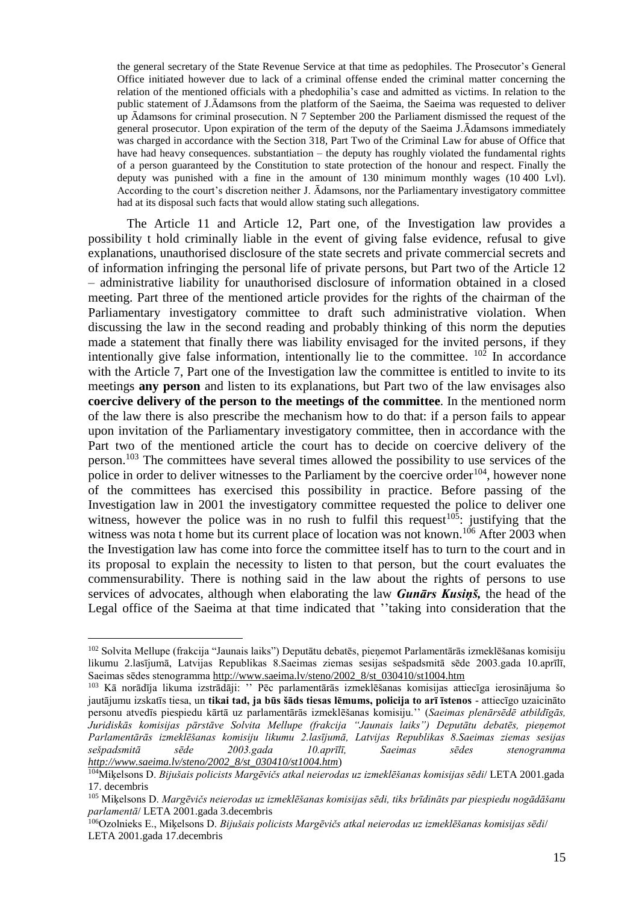the general secretary of the State Revenue Service at that time as pedophiles. The Prosecutor's General Office initiated however due to lack of a criminal offense ended the criminal matter concerning the relation of the mentioned officials with a phedophilia's case and admitted as victims. In relation to the public statement of J.Ādamsons from the platform of the Saeima, the Saeima was requested to deliver up Ādamsons for criminal prosecution. N 7 September 200 the Parliament dismissed the request of the general prosecutor. Upon expiration of the term of the deputy of the Saeima J.Ādamsons immediately was charged in accordance with the Section 318, Part Two of the Criminal Law for abuse of Office that have had heavy consequences. substantiation – the deputy has roughly violated the fundamental rights of a person guaranteed by the Constitution to state protection of the honour and respect. Finally the deputy was punished with a fine in the amount of 130 minimum monthly wages (10 400 Lvl). According to the court's discretion neither J. Ādamsons, nor the Parliamentary investigatory committee had at its disposal such facts that would allow stating such allegations.

The Article 11 and Article 12, Part one, of the Investigation law provides a possibility t hold criminally liable in the event of giving false evidence, refusal to give explanations, unauthorised disclosure of the state secrets and private commercial secrets and of information infringing the personal life of private persons, but Part two of the Article 12 – administrative liability for unauthorised disclosure of information obtained in a closed meeting. Part three of the mentioned article provides for the rights of the chairman of the Parliamentary investigatory committee to draft such administrative violation. When discussing the law in the second reading and probably thinking of this norm the deputies made a statement that finally there was liability envisaged for the invited persons, if they intentionally give false information, intentionally lie to the committee.  $102$  In accordance with the Article 7. Part one of the Investigation law the committee is entitled to invite to its meetings **any person** and listen to its explanations, but Part two of the law envisages also **coercive delivery of the person to the meetings of the committee**. In the mentioned norm of the law there is also prescribe the mechanism how to do that: if a person fails to appear upon invitation of the Parliamentary investigatory committee, then in accordance with the Part two of the mentioned article the court has to decide on coercive delivery of the person.<sup>103</sup> The committees have several times allowed the possibility to use services of the police in order to deliver witnesses to the Parliament by the coercive order<sup>104</sup>, however none of the committees has exercised this possibility in practice. Before passing of the Investigation law in 2001 the investigatory committee requested the police to deliver one witness, however the police was in no rush to fulfil this request<sup>105</sup>: justifying that the witness was nota t home but its current place of location was not known.<sup>106</sup> After 2003 when the Investigation law has come into force the committee itself has to turn to the court and in its proposal to explain the necessity to listen to that person, but the court evaluates the commensurability. There is nothing said in the law about the rights of persons to use services of advocates, although when elaborating the law *Gunārs Kusiņš,* the head of the Legal office of the Saeima at that time indicated that ''taking into consideration that the

<sup>102</sup> Solvita Mellupe (frakcija "Jaunais laiks") Deputātu debatēs, pieņemot Parlamentārās izmeklēšanas komisiju likumu 2.lasījumā, Latvijas Republikas 8.Saeimas ziemas sesijas sešpadsmitā sēde 2003.gada 10.aprīlī, Saeimas sēdes stenogramma [http://www.saeima.lv/steno/2002\\_8/st\\_030410/st1004.htm](http://www.saeima.lv/steno/2002_8/st_030410/st1004.htm)

<sup>103</sup> Kā norādīja likuma izstrādāji: '' Pēc parlamentārās izmeklēšanas komisijas attiecīga ierosinājuma šo jautājumu izskatīs tiesa, un **tikai tad, ja būs šāds tiesas lēmums, policija to arī īstenos** - attiecīgo uzaicināto personu atvedīs piespiedu kārtā uz parlamentārās izmeklēšanas komisiju.'' (*Saeimas plenārsēdē atbildīgās, Juridiskās komisijas pārstāve Solvita Mellupe (frakcija "Jaunais laiks") Deputātu debatēs, pieņemot Parlamentārās izmeklēšanas komisiju likumu 2.lasījumā, Latvijas Republikas 8.Saeimas ziemas sesijas sešpadsmitā sēde 2003.gada 10.aprīlī, Saeimas sēdes stenogramma [http://www.saeima.lv/steno/2002\\_8/st\\_030410/st1004.htm](http://www.saeima.lv/steno/2002_8/st_030410/st1004.htm)*)

<sup>104</sup>Miķelsons D. *Bijušais policists Margēvičs atkal neierodas uz izmeklēšanas komisijas sēdi*/ LETA 2001.gada 17. decembris

<sup>105</sup> Miķelsons D. *Margēvičs neierodas uz izmeklēšanas komisijas sēdi, tiks brīdināts par piespiedu nogādāšanu parlamentā*/ LETA 2001.gada 3.decembris

<sup>106</sup>Ozolnieks E., Miķelsons D. *Bijušais policists Margēvičs atkal neierodas uz izmeklēšanas komisijas sēdi*/ LETA 2001.gada 17.decembris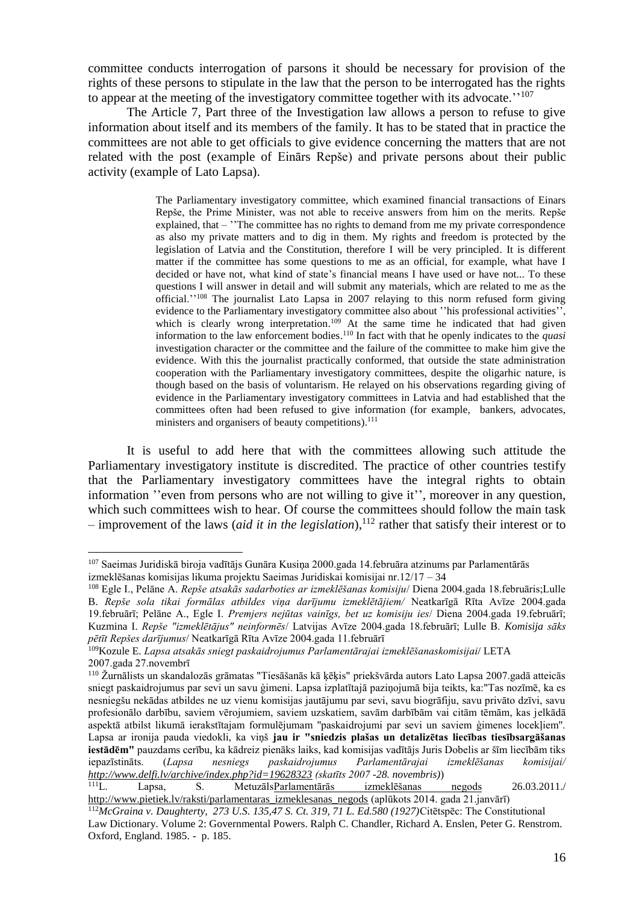committee conducts interrogation of parsons it should be necessary for provision of the rights of these persons to stipulate in the law that the person to be interrogated has the rights to appear at the meeting of the investigatory committee together with its advocate.<sup>''107</sup>

The Article 7, Part three of the Investigation law allows a person to refuse to give information about itself and its members of the family. It has to be stated that in practice the committees are not able to get officials to give evidence concerning the matters that are not related with the post (example of Einārs Repše) and private persons about their public activity (example of Lato Lapsa).

> The Parliamentary investigatory committee, which examined financial transactions of Einars Repše, the Prime Minister, was not able to receive answers from him on the merits. Repše explained, that – ''The committee has no rights to demand from me my private correspondence as also my private matters and to dig in them. My rights and freedom is protected by the legislation of Latvia and the Constitution, therefore I will be very principled. It is different matter if the committee has some questions to me as an official, for example, what have I decided or have not, what kind of state's financial means I have used or have not... To these questions I will answer in detail and will submit any materials, which are related to me as the official.''<sup>108</sup> The journalist Lato Lapsa in 2007 relaying to this norm refused form giving evidence to the Parliamentary investigatory committee also about ''his professional activities'', which is clearly wrong interpretation.<sup>109</sup> At the same time he indicated that had given information to the law enforcement bodies. <sup>110</sup> In fact with that he openly indicates to the *quasi* investigation character or the committee and the failure of the committee to make him give the evidence. With this the journalist practically conformed, that outside the state administration cooperation with the Parliamentary investigatory committees, despite the oligarhic nature, is though based on the basis of voluntarism. He relayed on his observations regarding giving of evidence in the Parliamentary investigatory committees in Latvia and had established that the committees often had been refused to give information (for example, bankers, advocates, ministers and organisers of beauty competitions).<sup>111</sup>

It is useful to add here that with the committees allowing such attitude the Parliamentary investigatory institute is discredited. The practice of other countries testify that the Parliamentary investigatory committees have the integral rights to obtain information ''even from persons who are not willing to give it'', moreover in any question, which such committees wish to hear. Of course the committees should follow the main task  $-$  improvement of the laws (*aid it in the legislation*),<sup>112</sup> rather that satisfy their interest or to

<sup>107</sup> Saeimas Juridiskā biroja vadītājs Gunāra Kusiņa 2000.gada 14.februāra atzinums par Parlamentārās izmeklēšanas komisijas likuma projektu Saeimas Juridiskai komisijai nr.12/17 – 34

<sup>108</sup> Egle I., Pelāne A. *Repše atsakās sadarboties ar izmeklēšanas komisiju*/ Diena 2004.gada 18.februāris;Lulle B. *Repše sola tikai formālas atbildes viņa darījumu izmeklētājiem/* Neatkarīgā Rīta Avīze 2004.gada 19.februārī; Pelāne A., Egle I. *Premjers nejūtas vainīgs, bet uz komisiju ies*/ Diena 2004.gada 19.februārī; Kuzmina I. *Repše "izmeklētājus" neinformēs*/ Latvijas Avīze 2004.gada 18.februārī; Lulle B. *Komisija sāks pētīt Repšes darījumus*/ Neatkarīgā Rīta Avīze 2004.gada 11.februārī

<sup>109</sup>Kozule E. *Lapsa atsakās sniegt paskaidrojumus Parlamentārajai izmeklēšanaskomisijai*/ LETA 2007.gada 27.novembrī

<sup>110</sup> Žurnālists un skandalozās grāmatas "Tiesāšanās kā ķēķis" priekšvārda autors Lato Lapsa 2007.gadā atteicās sniegt paskaidrojumus par sevi un savu ģimeni. Lapsa izplatītajā paziņojumā bija teikts, ka:"Tas nozīmē, ka es nesniegšu nekādas atbildes ne uz vienu komisijas jautājumu par sevi, savu biogrāfiju, savu privāto dzīvi, savu profesionālo darbību, saviem vērojumiem, saviem uzskatiem, savām darbībām vai citām tēmām, kas jelkādā aspektā atbilst likumā ierakstītajam formulējumam ''paskaidrojumi par sevi un saviem ģimenes locekļiem''. Lapsa ar ironija pauda viedokli, ka viņš **jau ir "sniedzis plašas un detalizētas liecības tiesībsargāšanas iestādēm"** pauzdams cerību, ka kādreiz pienāks laiks, kad komisijas vadītājs Juris Dobelis ar šīm liecībām tiks iepazīstināts. (*Lapsa nesniegs paskaidrojumus Parlamentārajai izmeklēšanas komisijai/ <http://www.delfi.lv/archive/index.php?id=19628323> (skatīts 2007 -28. novembris)*)

<sup>111</sup>L. Lapsa, S. Metuzāl[sParlamentārās izmeklēšanas negods](http://www.pietiek.com/raksti/parlamentaras_izmeklesanas_negods) 26.03.2011./ [http://www.pietiek.lv/raksti/parlamentaras\\_izmeklesanas\\_negods](http://www.pietiek.lv/raksti/parlamentaras_izmeklesanas_negods) (aplūkots 2014. gada 21.janvārī)

<sup>112</sup>*McGraina v. Daughterty, 273 U.S. 135,47 S. Ct. 319, 71 L. Ed.580 (1927)*Citētspēc: The Constitutional Law Dictionary. Volume 2: Governmental Powers. Ralph C. Chandler, Richard A. Enslen, Peter G. Renstrom. Oxford, England. 1985. - p. 185.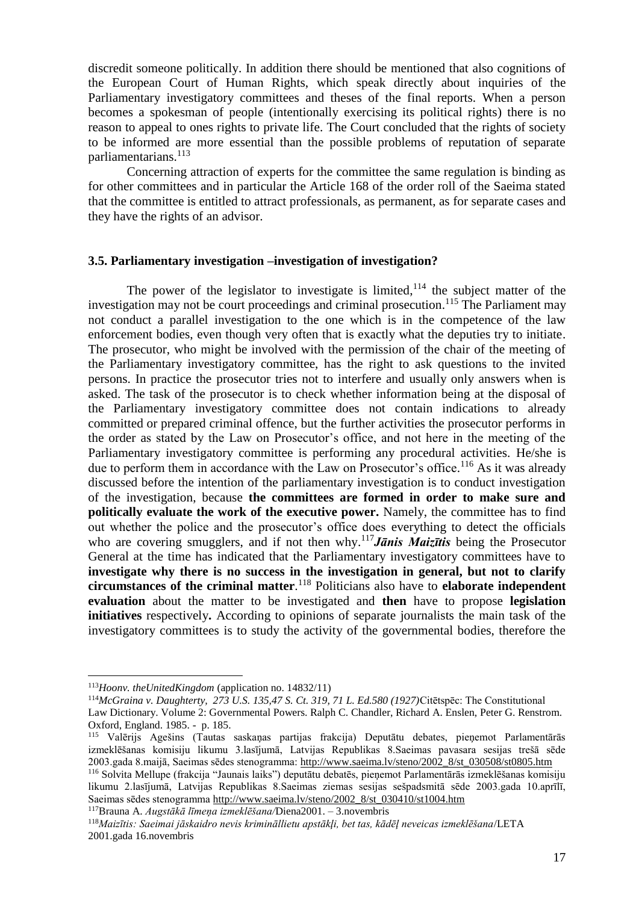discredit someone politically. In addition there should be mentioned that also cognitions of the European Court of Human Rights, which speak directly about inquiries of the Parliamentary investigatory committees and theses of the final reports. When a person becomes a spokesman of people (intentionally exercising its political rights) there is no reason to appeal to ones rights to private life. The Court concluded that the rights of society to be informed are more essential than the possible problems of reputation of separate parliamentarians. 113

Concerning attraction of experts for the committee the same regulation is binding as for other committees and in particular the Article 168 of the order roll of the Saeima stated that the committee is entitled to attract professionals, as permanent, as for separate cases and they have the rights of an advisor.

#### **3.5. Parliamentary investigation –investigation of investigation?**

The power of the legislator to investigate is limited,  $114$  the subject matter of the investigation may not be court proceedings and criminal prosecution. <sup>115</sup> The Parliament may not conduct a parallel investigation to the one which is in the competence of the law enforcement bodies, even though very often that is exactly what the deputies try to initiate. The prosecutor, who might be involved with the permission of the chair of the meeting of the Parliamentary investigatory committee, has the right to ask questions to the invited persons. In practice the prosecutor tries not to interfere and usually only answers when is asked. The task of the prosecutor is to check whether information being at the disposal of the Parliamentary investigatory committee does not contain indications to already committed or prepared criminal offence, but the further activities the prosecutor performs in the order as stated by the Law on Prosecutor's office, and not here in the meeting of the Parliamentary investigatory committee is performing any procedural activities. He/she is due to perform them in accordance with the Law on Prosecutor's office.<sup>116</sup> As it was already discussed before the intention of the parliamentary investigation is to conduct investigation of the investigation, because **the committees are formed in order to make sure and politically evaluate the work of the executive power.** Namely, the committee has to find out whether the police and the prosecutor's office does everything to detect the officials who are covering smugglers, and if not then why. <sup>117</sup>*Jānis Maizītis* being the Prosecutor General at the time has indicated that the Parliamentary investigatory committees have to **investigate why there is no success in the investigation in general, but not to clarify circumstances of the criminal matter**. <sup>118</sup> Politicians also have to **elaborate independent evaluation** about the matter to be investigated and **then** have to propose **legislation initiatives** respectively**.** According to opinions of separate journalists the main task of the investigatory committees is to study the activity of the governmental bodies, therefore the

 $\overline{a}$ 

<sup>117</sup>Brauna A. *Augstākā līmeņa izmeklēšana/*Diena2001. – 3.novembris

<sup>113</sup>*Hoonv. theUnitedKingdom* (application no. 14832/11)

<sup>114</sup>*McGraina v. Daughterty, 273 U.S. 135,47 S. Ct. 319, 71 L. Ed.580 (1927)*Citētspēc: The Constitutional

Law Dictionary. Volume 2: Governmental Powers. Ralph C. Chandler, Richard A. Enslen, Peter G. Renstrom. Oxford, England. 1985. - p. 185.

<sup>115</sup> Valērijs Agešins (Tautas saskaņas partijas frakcija) Deputātu debates, pieņemot Parlamentārās izmeklēšanas komisiju likumu 3.lasījumā, Latvijas Republikas 8.Saeimas pavasara sesijas trešā sēde 2003.gada 8.maijā, Saeimas sēdes stenogramma: [http://www.saeima.lv/steno/2002\\_8/st\\_030508/st0805.htm](http://www.saeima.lv/steno/2002_8/st_030508/st0805.htm)

<sup>116</sup> Solvita Mellupe (frakcija "Jaunais laiks") deputātu debatēs, pieņemot Parlamentārās izmeklēšanas komisiju likumu 2.lasījumā, Latvijas Republikas 8.Saeimas ziemas sesijas sešpadsmitā sēde 2003.gada 10.aprīlī, Saeimas sēdes stenogramma [http://www.saeima.lv/steno/2002\\_8/st\\_030410/st1004.htm](http://www.saeima.lv/steno/2002_8/st_030410/st1004.htm)

<sup>118</sup>*Maizītis: Saeimai jāskaidro nevis krimināllietu apstākļi, bet tas, kādēļ neveicas izmeklēšana*/LETA 2001.gada 16.novembris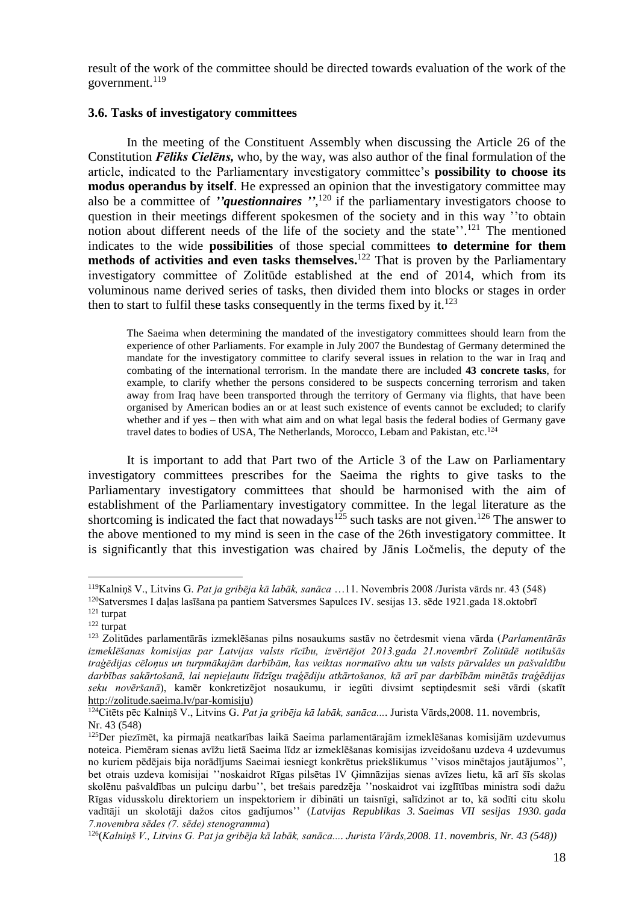result of the work of the committee should be directed towards evaluation of the work of the government. 119

#### **3.6. Tasks of investigatory committees**

In the meeting of the Constituent Assembly when discussing the Article 26 of the Constitution *Fēliks Cielēns,* who, by the way, was also author of the final formulation of the article, indicated to the Parliamentary investigatory committee's **possibility to choose its modus operandus by itself**. He expressed an opinion that the investigatory committee may also be a committee of *''questionnaires ''*, <sup>120</sup> if the parliamentary investigators choose to question in their meetings different spokesmen of the society and in this way ''to obtain notion about different needs of the life of the society and the state''.<sup>121</sup> The mentioned indicates to the wide **possibilities** of those special committees **to determine for them methods of activities and even tasks themselves.** <sup>122</sup> That is proven by the Parliamentary investigatory committee of Zolitūde established at the end of 2014, which from its voluminous name derived series of tasks, then divided them into blocks or stages in order then to start to fulfil these tasks consequently in the terms fixed by it. $^{123}$ 

The Saeima when determining the mandated of the investigatory committees should learn from the experience of other Parliaments. For example in July 2007 the Bundestag of Germany determined the mandate for the investigatory committee to clarify several issues in relation to the war in Iraq and combating of the international terrorism. In the mandate there are included **43 concrete tasks**, for example, to clarify whether the persons considered to be suspects concerning terrorism and taken away from Iraq have been transported through the territory of Germany via flights, that have been organised by American bodies an or at least such existence of events cannot be excluded; to clarify whether and if yes – then with what aim and on what legal basis the federal bodies of Germany gave travel dates to bodies of USA, The Netherlands, Morocco, Lebam and Pakistan, etc. 124

It is important to add that Part two of the Article 3 of the Law on Parliamentary investigatory committees prescribes for the Saeima the rights to give tasks to the Parliamentary investigatory committees that should be harmonised with the aim of establishment of the Parliamentary investigatory committee. In the legal literature as the shortcoming is indicated the fact that nowadays<sup>125</sup> such tasks are not given.<sup>126</sup> The answer to the above mentioned to my mind is seen in the case of the 26th investigatory committee. It is significantly that this investigation was chaired by Jānis Ločmelis, the deputy of the

<sup>119</sup>Kalniņš V., Litvins G. *Pat ja gribēja kā labāk, sanāca* …11. Novembris 2008 /Jurista vārds nr. 43 (548)

<sup>&</sup>lt;sup>120</sup>Satversmes I daļas lasīšana pa pantiem Satversmes Sapulces IV. sesijas 13. sēde 1921.gada 18.oktobrī <sup>121</sup> turpat

 $122$  turpat

<sup>123</sup> Zolitūdes parlamentārās izmeklēšanas pilns nosaukums sastāv no četrdesmit viena vārda (*Parlamentārās izmeklēšanas komisijas par Latvijas valsts rīcību, izvērtējot 2013.gada 21.novembrī Zolitūdē notikušās traģēdijas cēloņus un turpmākajām darbībām, kas veiktas normatīvo aktu un valsts pārvaldes un pašvaldību darbības sakārtošanā, lai nepieļautu līdzīgu traģēdiju atkārtošanos, kā arī par darbībām minētās traģēdijas seku novēršanā*), kamēr konkretizējot nosaukumu, ir iegūti divsimt septiņdesmit seši vārdi (skatīt [http://zolitude.saeima.lv/par-komisiju\)](http://zolitude.saeima.lv/par-komisiju)

<sup>124</sup>Citēts pēc Kalniņš V., Litvins G. *Pat ja gribēja kā labāk, sanāca...*. Jurista Vārds,2008. 11. novembris, Nr. 43 (548)

<sup>125</sup>Der piezīmēt, ka pirmajā neatkarības laikā Saeima parlamentārajām izmeklēšanas komisijām uzdevumus noteica. Piemēram sienas avīžu lietā Saeima līdz ar izmeklēšanas komisijas izveidošanu uzdeva 4 uzdevumus no kuriem pēdējais bija norādījums Saeimai iesniegt konkrētus priekšlikumus ''visos minētajos jautājumos'', bet otrais uzdeva komisijai ''noskaidrot Rīgas pilsētas IV Ģimnāzijas sienas avīzes lietu, kā arī šīs skolas skolēnu pašvaldības un pulciņu darbu'', bet trešais paredzēja ''noskaidrot vai izglītības ministra sodi dažu Rīgas vidusskolu direktoriem un inspektoriem ir dibināti un taisnīgi, salīdzinot ar to, kā sodīti citu skolu vadītāji un skolotāji dažos citos gadījumos'' (*Latvijas Republikas 3. Saeimas VII sesijas 1930. gada 7.novembra sēdes (7. sēde) stenogramma*)

<sup>126</sup>(*Kalniņš V., Litvins G. Pat ja gribēja kā labāk, sanāca.... Jurista Vārds,2008. 11. novembris, Nr. 43 (548))*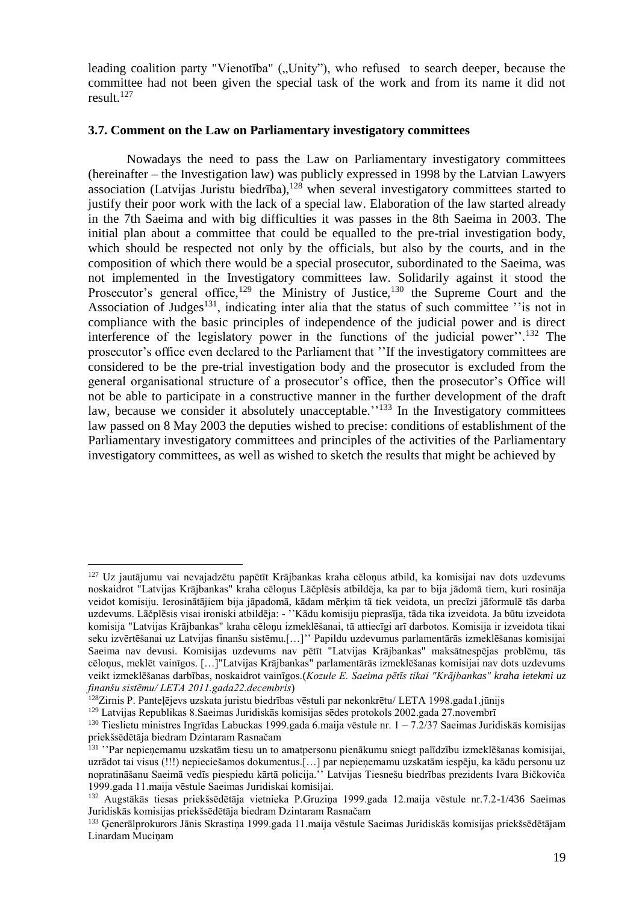leading coalition party "Vienotība" ("Unity"), who refused to search deeper, because the committee had not been given the special task of the work and from its name it did not result. 127

#### **3.7. Comment on the Law on Parliamentary investigatory committees**

Nowadays the need to pass the Law on Parliamentary investigatory committees (hereinafter – the Investigation law) was publicly expressed in 1998 by the Latvian Lawyers association (Latvijas Juristu biedrība), $128$  when several investigatory committees started to justify their poor work with the lack of a special law. Elaboration of the law started already in the 7th Saeima and with big difficulties it was passes in the 8th Saeima in 2003. The initial plan about a committee that could be equalled to the pre-trial investigation body, which should be respected not only by the officials, but also by the courts, and in the composition of which there would be a special prosecutor, subordinated to the Saeima, was not implemented in the Investigatory committees law. Solidarily against it stood the Prosecutor's general office,  $129$  the Ministry of Justice,  $130$  the Supreme Court and the Association of Judges<sup>131</sup>, indicating inter alia that the status of such committee  $\cdot$  is not in compliance with the basic principles of independence of the judicial power and is direct interference of the legislatory power in the functions of the judicial power''.<sup>132</sup> The prosecutor's office even declared to the Parliament that ''If the investigatory committees are considered to be the pre-trial investigation body and the prosecutor is excluded from the general organisational structure of a prosecutor's office, then the prosecutor's Office will not be able to participate in a constructive manner in the further development of the draft law, because we consider it absolutely unacceptable.<sup>''133</sup> In the Investigatory committees law passed on 8 May 2003 the deputies wished to precise: conditions of establishment of the Parliamentary investigatory committees and principles of the activities of the Parliamentary investigatory committees, as well as wished to sketch the results that might be achieved by

<sup>127</sup> Uz jautājumu vai nevajadzētu papētīt Krājbankas kraha cēloņus atbild, ka komisijai nav dots uzdevums noskaidrot "Latvijas Krājbankas" kraha cēloņus Lāčplēsis atbildēja, ka par to bija jādomā tiem, kuri rosināja veidot komisiju. Ierosinātājiem bija jāpadomā, kādam mērķim tā tiek veidota, un precīzi jāformulē tās darba uzdevums. Lāčplēsis visai ironiski atbildēja: - ''Kādu komisiju pieprasīja, tāda tika izveidota. Ja būtu izveidota komisija "Latvijas Krājbankas" kraha cēloņu izmeklēšanai, tā attiecīgi arī darbotos. Komisija ir izveidota tikai seku izvērtēšanai uz Latvijas finanšu sistēmu.[…]'' Papildu uzdevumus parlamentārās izmeklēšanas komisijai Saeima nav devusi. Komisijas uzdevums nav pētīt "Latvijas Krājbankas" maksātnespējas problēmu, tās cēloņus, meklēt vainīgos. […]"Latvijas Krājbankas" parlamentārās izmeklēšanas komisijai nav dots uzdevums veikt izmeklēšanas darbības, noskaidrot vainīgos.(*Kozule E. Saeima pētīs tikai "Krājbankas" kraha ietekmi uz finanšu sistēmu/ LETA 2011.gada22.decembris*)

<sup>128</sup>Zirnis P. Panteļējevs uzskata juristu biedrības vēstuli par nekonkrētu/ LETA 1998.gada1.jūnijs

<sup>129</sup> Latvijas Republikas 8.Saeimas Juridiskās komisijas sēdes protokols 2002.gada 27.novembrī

<sup>&</sup>lt;sup>130</sup> Tieslietu ministres Ingrīdas Labuckas 1999.gada 6.maija vēstule nr. 1 – 7.2/37 Saeimas Juridiskās komisijas priekšsēdētāja biedram Dzintaram Rasnačam

<sup>&</sup>lt;sup>131</sup> ''Par nepienemamu uzskatām tiesu un to amatpersonu pienākumu sniegt palīdzību izmeklēšanas komisijai, uzrādot tai visus (!!!) nepieciešamos dokumentus.[…] par nepieņemamu uzskatām iespēju, ka kādu personu uz nopratināšanu Saeimā vedīs piespiedu kārtā policija.'' Latvijas Tiesnešu biedrības prezidents Ivara Bičkoviča 1999.gada 11.maija vēstule Saeimas Juridiskai komisijai.

<sup>132</sup> Augstākās tiesas priekšsēdētāja vietnieka P.Gruziņa 1999.gada 12.maija vēstule nr.7.2-1/436 Saeimas Juridiskās komisijas priekšsēdētāja biedram Dzintaram Rasnačam

<sup>133</sup> Ģenerālprokurors Jānis Skrastiņa 1999.gada 11.maija vēstule Saeimas Juridiskās komisijas priekšsēdētājam Linardam Mucinam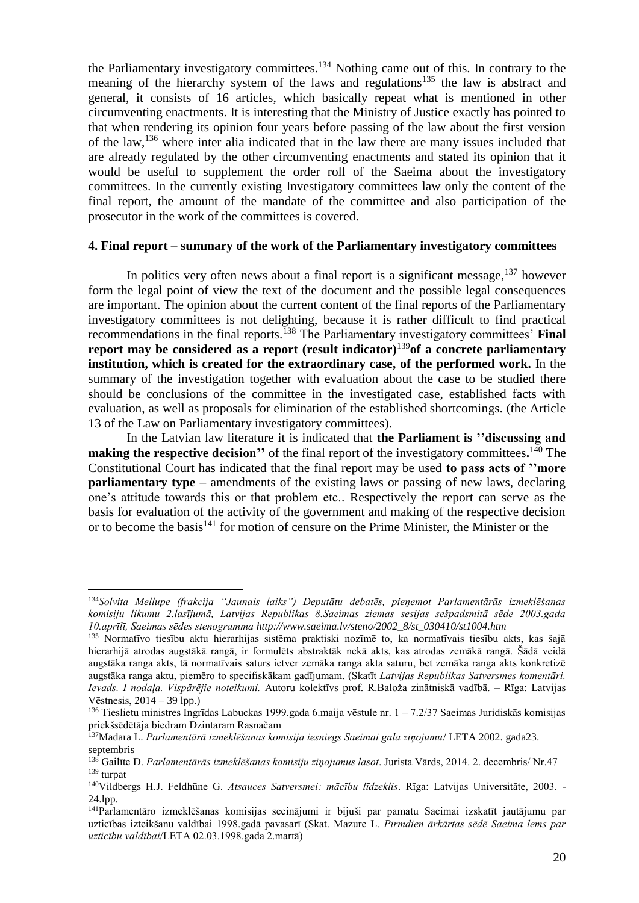the Parliamentary investigatory committees.<sup>134</sup> Nothing came out of this. In contrary to the meaning of the hierarchy system of the laws and regulations<sup>135</sup> the law is abstract and general, it consists of 16 articles, which basically repeat what is mentioned in other circumventing enactments. It is interesting that the Ministry of Justice exactly has pointed to that when rendering its opinion four years before passing of the law about the first version of the law,<sup>136</sup> where inter alia indicated that in the law there are many issues included that are already regulated by the other circumventing enactments and stated its opinion that it would be useful to supplement the order roll of the Saeima about the investigatory committees. In the currently existing Investigatory committees law only the content of the final report, the amount of the mandate of the committee and also participation of the prosecutor in the work of the committees is covered.

### **4. Final report – summary of the work of the Parliamentary investigatory committees**

In politics very often news about a final report is a significant message,  $137$  however form the legal point of view the text of the document and the possible legal consequences are important. The opinion about the current content of the final reports of the Parliamentary investigatory committees is not delighting, because it is rather difficult to find practical recommendations in the final reports. <sup>138</sup> The Parliamentary investigatory committees' **Final report may be considered as a report (result indicator)**<sup>139</sup>**of a concrete parliamentary institution, which is created for the extraordinary case, of the performed work.** In the summary of the investigation together with evaluation about the case to be studied there should be conclusions of the committee in the investigated case, established facts with evaluation, as well as proposals for elimination of the established shortcomings. (the Article 13 of the Law on Parliamentary investigatory committees).

In the Latvian law literature it is indicated that **the Parliament is ''discussing and making the respective decision''** of the final report of the investigatory committees**.** <sup>140</sup> The Constitutional Court has indicated that the final report may be used **to pass acts of ''more parliamentary type** – amendments of the existing laws or passing of new laws, declaring one's attitude towards this or that problem etc.. Respectively the report can serve as the basis for evaluation of the activity of the government and making of the respective decision or to become the basis<sup>141</sup> for motion of censure on the Prime Minister, the Minister or the

<sup>134</sup>*Solvita Mellupe (frakcija "Jaunais laiks") Deputātu debatēs, pieņemot Parlamentārās izmeklēšanas komisiju likumu 2.lasījumā, Latvijas Republikas 8.Saeimas ziemas sesijas sešpadsmitā sēde 2003.gada 10.aprīlī, Saeimas sēdes stenogramma [http://www.saeima.lv/steno/2002\\_8/st\\_030410/st1004.htm](http://www.saeima.lv/steno/2002_8/st_030410/st1004.htm)*

<sup>135</sup> Normatīvo tiesību aktu hierarhijas sistēma praktiski nozīmē to, ka normatīvais tiesību akts, kas šajā hierarhijā atrodas augstākā rangā, ir formulēts abstraktāk nekā akts, kas atrodas zemākā rangā. Šādā veidā augstāka ranga akts, tā normatīvais saturs ietver zemāka ranga akta saturu, bet zemāka ranga akts konkretizē augstāka ranga aktu, piemēro to specifiskākam gadījumam. (Skatīt *Latvijas Republikas Satversmes komentāri. Ievads. I nodaļa. Vispārējie noteikumi.* Autoru kolektīvs prof. R.Baloža zinātniskā vadībā. – Rīga: Latvijas Vēstnesis, 2014 – 39 lpp.)

<sup>136</sup> Tieslietu ministres Ingrīdas Labuckas 1999.gada 6.maija vēstule nr. 1 – 7.2/37 Saeimas Juridiskās komisijas priekšsēdētāja biedram Dzintaram Rasnačam

<sup>137</sup>Madara L. *Parlamentārā izmeklēšanas komisija iesniegs Saeimai gala ziņojumu*/ LETA 2002. gada23. septembris

<sup>138</sup> Gailīte D. *Parlamentārās izmeklēšanas komisiju ziņojumus lasot*. Jurista Vārds, 2014. 2. decembris/ Nr.47 <sup>139</sup> turpat

<sup>140</sup>Vildbergs H.J. Feldhūne G. *Atsauces Satversmei: mācību līdzeklis*. Rīga: Latvijas Universitāte, 2003. - 24.lpp.

<sup>141</sup>Parlamentāro izmeklēšanas komisijas secinājumi ir bijuši par pamatu Saeimai izskatīt jautājumu par uzticības izteikšanu valdībai 1998.gadā pavasarī (Skat. Mazure L. *Pirmdien ārkārtas sēdē Saeima lems par uzticību valdībai*/LETA 02.03.1998.gada 2.martā)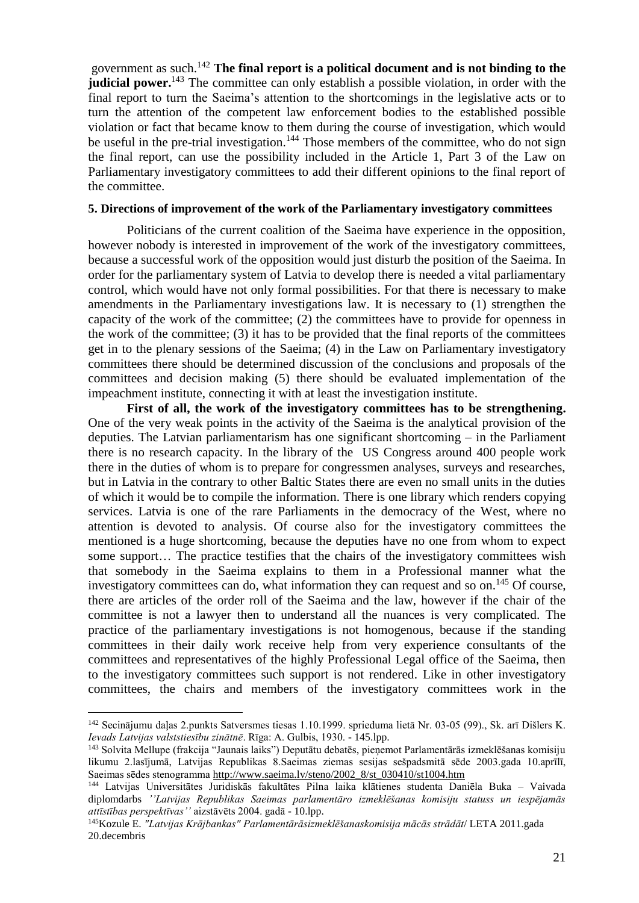government as such. <sup>142</sup> **The final report is a political document and is not binding to the judicial power.**<sup>143</sup> The committee can only establish a possible violation, in order with the final report to turn the Saeima's attention to the shortcomings in the legislative acts or to turn the attention of the competent law enforcement bodies to the established possible violation or fact that became know to them during the course of investigation, which would be useful in the pre-trial investigation.<sup>144</sup> Those members of the committee, who do not sign the final report, can use the possibility included in the Article 1, Part 3 of the Law on Parliamentary investigatory committees to add their different opinions to the final report of the committee.

## **5. Directions of improvement of the work of the Parliamentary investigatory committees**

Politicians of the current coalition of the Saeima have experience in the opposition, however nobody is interested in improvement of the work of the investigatory committees, because a successful work of the opposition would just disturb the position of the Saeima. In order for the parliamentary system of Latvia to develop there is needed a vital parliamentary control, which would have not only formal possibilities. For that there is necessary to make amendments in the Parliamentary investigations law. It is necessary to (1) strengthen the capacity of the work of the committee; (2) the committees have to provide for openness in the work of the committee; (3) it has to be provided that the final reports of the committees get in to the plenary sessions of the Saeima; (4) in the Law on Parliamentary investigatory committees there should be determined discussion of the conclusions and proposals of the committees and decision making (5) there should be evaluated implementation of the impeachment institute, connecting it with at least the investigation institute.

First of all, the work of the investigatory committees has to be strengthening. One of the very weak points in the activity of the Saeima is the analytical provision of the deputies. The Latvian parliamentarism has one significant shortcoming – in the Parliament there is no research capacity. In the library of the US Congress around 400 people work there in the duties of whom is to prepare for congressmen analyses, surveys and researches, but in Latvia in the contrary to other Baltic States there are even no small units in the duties of which it would be to compile the information. There is one library which renders copying services. Latvia is one of the rare Parliaments in the democracy of the West, where no attention is devoted to analysis. Of course also for the investigatory committees the mentioned is a huge shortcoming, because the deputies have no one from whom to expect some support… The practice testifies that the chairs of the investigatory committees wish that somebody in the Saeima explains to them in a Professional manner what the investigatory committees can do, what information they can request and so on.<sup>145</sup> Of course, there are articles of the order roll of the Saeima and the law, however if the chair of the committee is not a lawyer then to understand all the nuances is very complicated. The practice of the parliamentary investigations is not homogenous, because if the standing committees in their daily work receive help from very experience consultants of the committees and representatives of the highly Professional Legal office of the Saeima, then to the investigatory committees such support is not rendered. Like in other investigatory committees, the chairs and members of the investigatory committees work in the

<sup>142</sup> Secinājumu daļas 2.punkts Satversmes tiesas 1.10.1999. sprieduma lietā Nr. 03-05 (99)., Sk. arī Dišlers K. *Ievads Latvijas valststiesību zinātnē*. Rīga: A. Gulbis, 1930. - 145.lpp.

<sup>143</sup> Solvita Mellupe (frakcija "Jaunais laiks") Deputātu debatēs, pieņemot Parlamentārās izmeklēšanas komisiju likumu 2.lasījumā, Latvijas Republikas 8.Saeimas ziemas sesijas sešpadsmitā sēde 2003.gada 10.aprīlī, Saeimas sēdes stenogramma [http://www.saeima.lv/steno/2002\\_8/st\\_030410/st1004.htm](http://www.saeima.lv/steno/2002_8/st_030410/st1004.htm)

<sup>144</sup> Latvijas Universitātes Juridiskās fakultātes Pilna laika klātienes studenta Daniēla Buka – Vaivada diplomdarbs *''Latvijas Republikas Saeimas parlamentāro izmeklēšanas komisiju statuss un iespējamās attīstības perspektīvas''* aizstāvēts 2004. gadā - 10.lpp.

<sup>145</sup>Kozule E. *"Latvijas Krājbankas" Parlamentārāsizmeklēšanaskomisija mācās strādāt*/ LETA 2011.gada 20.decembris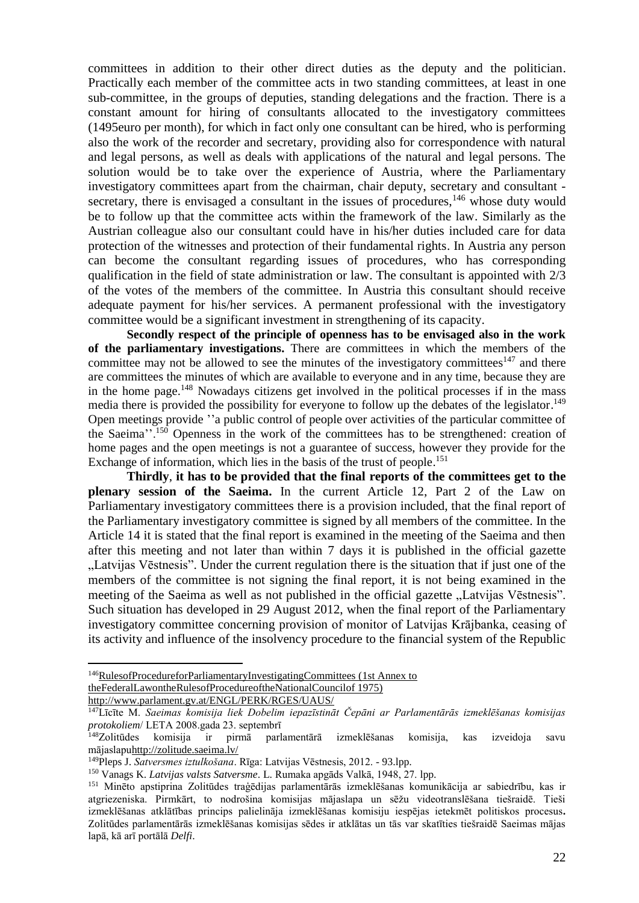committees in addition to their other direct duties as the deputy and the politician. Practically each member of the committee acts in two standing committees, at least in one sub-committee, in the groups of deputies, standing delegations and the fraction. There is a constant amount for hiring of consultants allocated to the investigatory committees (1495euro per month), for which in fact only one consultant can be hired, who is performing also the work of the recorder and secretary, providing also for correspondence with natural and legal persons, as well as deals with applications of the natural and legal persons. The solution would be to take over the experience of Austria, where the Parliamentary investigatory committees apart from the chairman, chair deputy, secretary and consultant secretary, there is envisaged a consultant in the issues of procedures,<sup>146</sup> whose duty would be to follow up that the committee acts within the framework of the law. Similarly as the Austrian colleague also our consultant could have in his/her duties included care for data protection of the witnesses and protection of their fundamental rights. In Austria any person can become the consultant regarding issues of procedures, who has corresponding qualification in the field of state administration or law. The consultant is appointed with 2/3 of the votes of the members of the committee. In Austria this consultant should receive adequate payment for his/her services. A permanent professional with the investigatory committee would be a significant investment in strengthening of its capacity.

**Secondly respect of the principle of openness has to be envisaged also in the work of the parliamentary investigations.** There are committees in which the members of the committee may not be allowed to see the minutes of the investigatory committees $147$  and there are committees the minutes of which are available to everyone and in any time, because they are in the home page.<sup>148</sup> Nowadays citizens get involved in the political processes if in the mass media there is provided the possibility for everyone to follow up the debates of the legislator.<sup>149</sup> Open meetings provide ''a public control of people over activities of the particular committee of the Saeima''.<sup>150</sup> Openness in the work of the committees has to be strengthened: creation of home pages and the open meetings is not a guarantee of success, however they provide for the Exchange of information, which lies in the basis of the trust of people.<sup>151</sup>

**Thirdly**, **it has to be provided that the final reports of the committees get to the plenary session of the Saeima.** In the current Article 12, Part 2 of the Law on Parliamentary investigatory committees there is a provision included, that the final report of the Parliamentary investigatory committee is signed by all members of the committee. In the Article 14 it is stated that the final report is examined in the meeting of the Saeima and then after this meeting and not later than within 7 days it is published in the official gazette "Latvijas Vēstnesis". Under the current regulation there is the situation that if just one of the members of the committee is not signing the final report, it is not being examined in the meeting of the Saeima as well as not published in the official gazette "Latvijas Vēstnesis". Such situation has developed in 29 August 2012, when the final report of the Parliamentary investigatory committee concerning provision of monitor of Latvijas Krājbanka, ceasing of its activity and influence of the insolvency procedure to the financial system of the Republic

<sup>&</sup>lt;sup>146</sup>RulesofProcedureforParliamentaryInvestigatingCommittees (1st Annex to [theFederalLawontheRulesofProcedureoftheNationalCouncilof 1975\)](file:///F:/PIK/citas%20valstsi%20-%20parlamentara%20izmeklesana/Rules%20of%20Procedure%20for%20Parliamentary%20Investigating%20Committees%20(1st%20Annex%20to%20the%20Federal%20Law%20on%20the%20Rules%20of%20Procedure%20of%20the%20National%20Council%20of%201975)http:/www.parlament.gv.at/ENGL/PERK/RGES/UAUS/)

[http://www.parlament.gv.at/ENGL/PERK/RGES/UAUS/](file:///F:/PIK/citas%20valstsi%20-%20parlamentara%20izmeklesana/Rules%20of%20Procedure%20for%20Parliamentary%20Investigating%20Committees%20(1st%20Annex%20to%20the%20Federal%20Law%20on%20the%20Rules%20of%20Procedure%20of%20the%20National%20Council%20of%201975)http:/www.parlament.gv.at/ENGL/PERK/RGES/UAUS/)

<sup>147</sup>Līcīte M. *Saeimas komisija liek Dobelim iepazīstināt Čepāni ar Parlamentārās izmeklēšanas komisijas protokoliem*/ LETA 2008.gada 23. septembrī

<sup>148</sup>Zolitūdes komisija ir pirmā parlamentārā izmeklēšanas komisija, kas izveidoja savu mājaslap[uhttp://zolitude.saeima.lv/](http://zolitude.saeima.lv/)

<sup>149</sup>Pleps J. *Satversmes iztulkošana*. Rīga: Latvijas Vēstnesis, 2012. - 93.lpp.

<sup>150</sup> Vanags K. *Latvijas valsts Satversme*. L. Rumaka apgāds Valkā, 1948, 27. lpp.

<sup>151</sup> Minēto apstiprina Zolitūdes traģēdijas parlamentārās izmeklēšanas komunikācija ar sabiedrību, kas ir atgriezeniska. Pirmkārt, to nodrošina komisijas mājaslapa un sēžu videotranslēšana tiešraidē. Tieši izmeklēšanas atklātības princips palielināja izmeklēšanas komisiju iespējas ietekmēt politiskos procesus**.**  Zolitūdes parlamentārās izmeklēšanas komisijas sēdes ir atklātas un tās var skatīties tiešraidē Saeimas mājas lapā, kā arī portālā *Delfi*.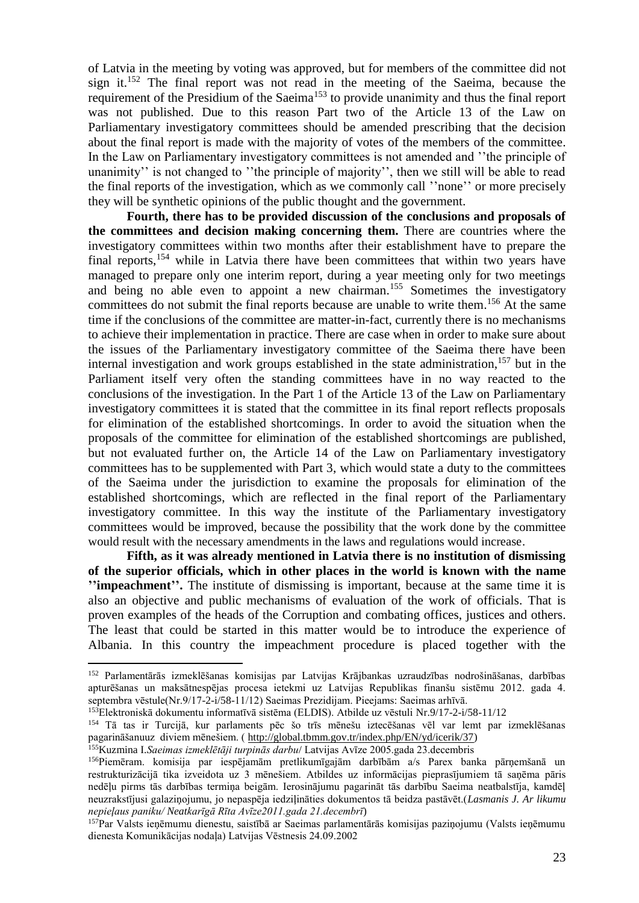of Latvia in the meeting by voting was approved, but for members of the committee did not sign it.<sup>152</sup> The final report was not read in the meeting of the Saeima, because the requirement of the Presidium of the Saeima<sup>153</sup> to provide unanimity and thus the final report was not published. Due to this reason Part two of the Article 13 of the Law on Parliamentary investigatory committees should be amended prescribing that the decision about the final report is made with the majority of votes of the members of the committee. In the Law on Parliamentary investigatory committees is not amended and ''the principle of unanimity'' is not changed to ''the principle of majority'', then we still will be able to read the final reports of the investigation, which as we commonly call ''none'' or more precisely they will be synthetic opinions of the public thought and the government.

**Fourth, there has to be provided discussion of the conclusions and proposals of the committees and decision making concerning them.** There are countries where the investigatory committees within two months after their establishment have to prepare the final reports,<sup>154</sup> while in Latvia there have been committees that within two years have managed to prepare only one interim report, during a year meeting only for two meetings and being no able even to appoint a new chairman. <sup>155</sup> Sometimes the investigatory committees do not submit the final reports because are unable to write them.<sup>156</sup> At the same time if the conclusions of the committee are matter-in-fact, currently there is no mechanisms to achieve their implementation in practice. There are case when in order to make sure about the issues of the Parliamentary investigatory committee of the Saeima there have been internal investigation and work groups established in the state administration, <sup>157</sup> but in the Parliament itself very often the standing committees have in no way reacted to the conclusions of the investigation. In the Part 1 of the Article 13 of the Law on Parliamentary investigatory committees it is stated that the committee in its final report reflects proposals for elimination of the established shortcomings. In order to avoid the situation when the proposals of the committee for elimination of the established shortcomings are published, but not evaluated further on, the Article 14 of the Law on Parliamentary investigatory committees has to be supplemented with Part 3, which would state a duty to the committees of the Saeima under the jurisdiction to examine the proposals for elimination of the established shortcomings, which are reflected in the final report of the Parliamentary investigatory committee. In this way the institute of the Parliamentary investigatory committees would be improved, because the possibility that the work done by the committee would result with the necessary amendments in the laws and regulations would increase.

**Fifth, as it was already mentioned in Latvia there is no institution of dismissing of the superior officials, which in other places in the world is known with the name ''impeachment''.** The institute of dismissing is important, because at the same time it is also an objective and public mechanisms of evaluation of the work of officials. That is proven examples of the heads of the Corruption and combating offices, justices and others. The least that could be started in this matter would be to introduce the experience of Albania. In this country the impeachment procedure is placed together with the

<sup>152</sup> Parlamentārās izmeklēšanas komisijas par Latvijas Krājbankas uzraudzības nodrošināšanas, darbības apturēšanas un maksātnespējas procesa ietekmi uz Latvijas Republikas finanšu sistēmu 2012. gada 4. septembra vēstule(Nr.9/17-2-i/58-11/12) Saeimas Prezidijam. Pieejams: Saeimas arhīvā.

<sup>153</sup>Elektroniskā dokumentu informatīvā sistēma (ELDIS). Atbilde uz vēstuli Nr.9/17-2-i/58-11/12

<sup>154</sup> Tā tas ir Turcijā, kur parlaments pēc šo trīs mēnešu iztecēšanas vēl var lemt par izmeklēšanas pagarināšanuuz diviem mēnešiem. ( [http://global.tbmm.gov.tr/index.php/EN/yd/icerik/37\)](http://global.tbmm.gov.tr/index.php/EN/yd/icerik/37)

<sup>155</sup>Kuzmina I.*Saeimas izmeklētāji turpinās darbu*/ Latvijas Avīze 2005.gada 23.decembris

<sup>156</sup>Piemēram. komisija par iespējamām pretlikumīgajām darbībām a/s Parex banka pārņemšanā un restrukturizācijā tika izveidota uz 3 mēnešiem. Atbildes uz informācijas pieprasījumiem tā saņēma pāris nedēļu pirms tās darbības termiņa beigām. Ierosinājumu pagarināt tās darbību Saeima neatbalstīja, kamdēļ neuzrakstījusi galaziņojumu, jo nepaspēja iedziļināties dokumentos tā beidza pastāvēt.(*Lasmanis J. Ar likumu nepieļaus paniku/ Neatkarīgā Rīta Avīze2011.gada 21.decembrī*)

<sup>&</sup>lt;sup>157</sup>Par Valsts ieņēmumu dienestu, saistībā ar Saeimas parlamentārās komisijas paziņojumu (Valsts ieņēmumu dienesta Komunikācijas nodaļa) Latvijas Vēstnesis 24.09.2002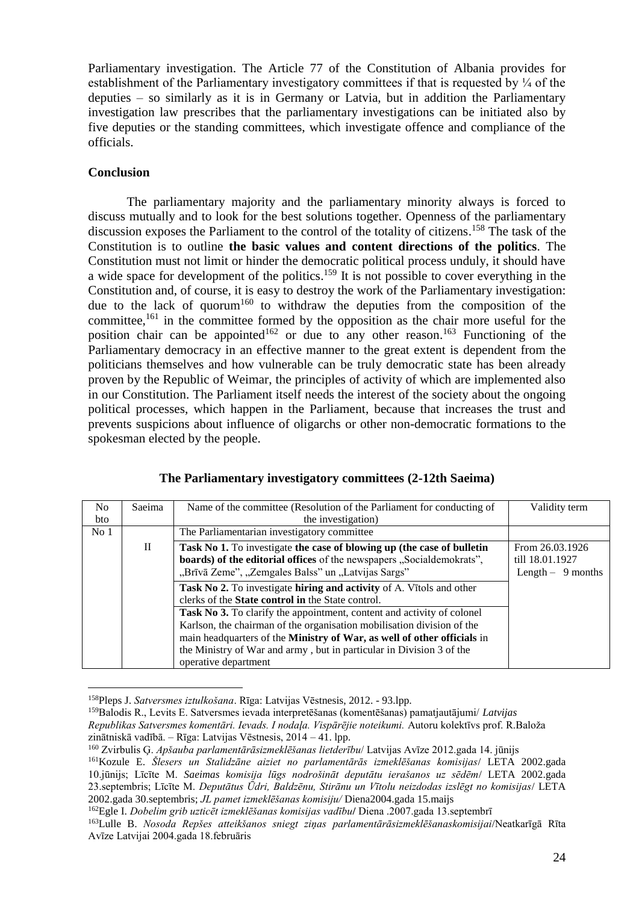Parliamentary investigation. The Article 77 of the Constitution of Albania provides for establishment of the Parliamentary investigatory committees if that is requested by  $\frac{1}{4}$  of the deputies – so similarly as it is in Germany or Latvia, but in addition the Parliamentary investigation law prescribes that the parliamentary investigations can be initiated also by five deputies or the standing committees, which investigate offence and compliance of the officials.

## **Conclusion**

 $\overline{a}$ 

The parliamentary majority and the parliamentary minority always is forced to discuss mutually and to look for the best solutions together. Openness of the parliamentary discussion exposes the Parliament to the control of the totality of citizens. <sup>158</sup> The task of the Constitution is to outline **the basic values and content directions of the politics**. The Constitution must not limit or hinder the democratic political process unduly, it should have a wide space for development of the politics.<sup>159</sup> It is not possible to cover everything in the Constitution and, of course, it is easy to destroy the work of the Parliamentary investigation: due to the lack of quorum<sup>160</sup> to withdraw the deputies from the composition of the committee,<sup>161</sup> in the committee formed by the opposition as the chair more useful for the position chair can be appointed<sup>162</sup> or due to any other reason.<sup>163</sup> Functioning of the Parliamentary democracy in an effective manner to the great extent is dependent from the politicians themselves and how vulnerable can be truly democratic state has been already proven by the Republic of Weimar, the principles of activity of which are implemented also in our Constitution. The Parliament itself needs the interest of the society about the ongoing political processes, which happen in the Parliament, because that increases the trust and prevents suspicions about influence of oligarchs or other non-democratic formations to the spokesman elected by the people.

| No<br><b>bto</b> | Saeima       | Name of the committee (Resolution of the Parliament for conducting of<br>the investigation)                                                                                                                                                                                                                                                                                                                                                                     | Validity term                                            |
|------------------|--------------|-----------------------------------------------------------------------------------------------------------------------------------------------------------------------------------------------------------------------------------------------------------------------------------------------------------------------------------------------------------------------------------------------------------------------------------------------------------------|----------------------------------------------------------|
| No <sub>1</sub>  |              | The Parliamentarian investigatory committee                                                                                                                                                                                                                                                                                                                                                                                                                     |                                                          |
|                  | $\mathbf{H}$ | Task No 1. To investigate the case of blowing up (the case of bulletin<br>boards) of the editorial offices of the newspapers "Socialdemokrats",<br>"Brīvā Zeme", "Zemgales Balss" un "Latvijas Sargs"                                                                                                                                                                                                                                                           | From 26.03.1926<br>till 18.01.1927<br>Length $-9$ months |
|                  |              | Task No 2. To investigate hiring and activity of A. Vitols and other<br>clerks of the <b>State control in</b> the State control.<br>Task No 3. To clarify the appointment, content and activity of colonel<br>Karlson, the chairman of the organisation mobilisation division of the<br>main headquarters of the Ministry of War, as well of other officials in<br>the Ministry of War and army, but in particular in Division 3 of the<br>operative department |                                                          |

| The Parliamentary investigatory committees (2-12th Saeima) |  |
|------------------------------------------------------------|--|
|------------------------------------------------------------|--|

<sup>158</sup>Pleps J. *Satversmes iztulkošana*. Rīga: Latvijas Vēstnesis, 2012. - 93.lpp.

<sup>159</sup>Balodis R., Levits E. Satversmes ievada interpretēšanas (komentēšanas) pamatjautājumi/ *Latvijas* 

*Republikas Satversmes komentāri. Ievads. I nodaļa. Vispārējie noteikumi.* Autoru kolektīvs prof. R.Baloža zinātniskā vadībā. – Rīga: Latvijas Vēstnesis, 2014 – 41. lpp.

<sup>160</sup> Zvirbulis Ģ. *Apšauba parlamentārāsizmeklēšanas lietderību*/ Latvijas Avīze 2012.gada 14. jūnijs

<sup>161</sup>Kozule E. *Šlesers un Stalidzāne aiziet no parlamentārās izmeklēšanas komisijas*/ LETA 2002.gada 10.jūnijs; Līcīte M. *Saeimas komisija lūgs nodrošināt deputātu ierašanos uz sēdēm*/ LETA 2002.gada 23.septembris; Līcīte M. *Deputātus Ūdri, Baldzēnu, Stirānu un Vītolu neizdodas izslēgt no komisijas*/ LETA 2002.gada 30.septembris; *JL pamet izmeklēšanas komisiju/* Diena2004.gada 15.maijs

<sup>162</sup>Egle I. *Dobelim grib uzticēt izmeklēšanas komisijas vadību***/** Diena .2007.gada 13.septembrī

<sup>163</sup>Lulle B. *Nosoda Repšes atteikšanos sniegt ziņas parlamentārāsizmeklēšanaskomisijai*/Neatkarīgā Rīta Avīze Latvijai 2004.gada 18.februāris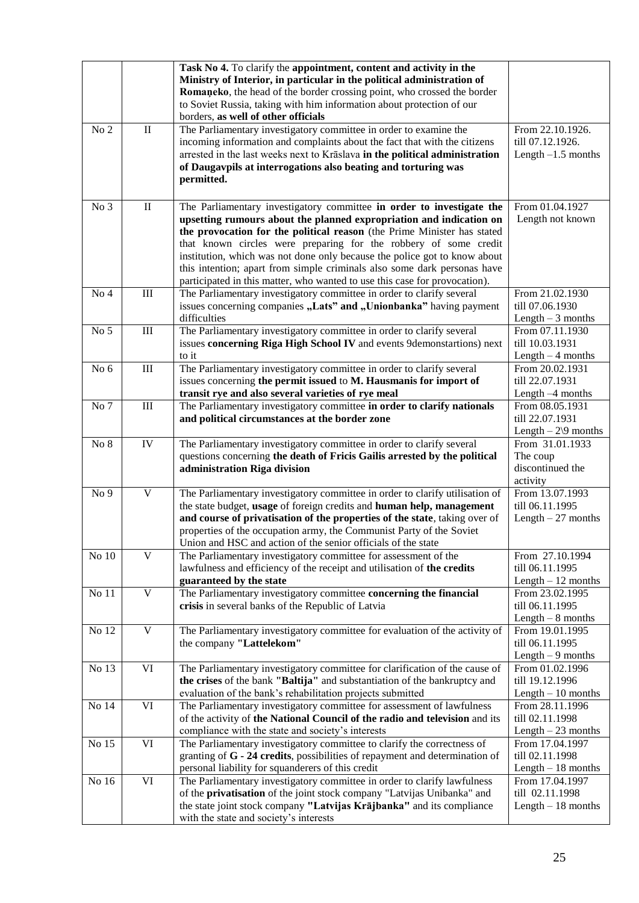|                 |                        | Task No 4. To clarify the appointment, content and activity in the<br>Ministry of Interior, in particular in the political administration of<br>Romaneko, the head of the border crossing point, who crossed the border<br>to Soviet Russia, taking with him information about protection of our<br>borders, as well of other officials                                                                                                                                                                                            |                                                                  |
|-----------------|------------------------|------------------------------------------------------------------------------------------------------------------------------------------------------------------------------------------------------------------------------------------------------------------------------------------------------------------------------------------------------------------------------------------------------------------------------------------------------------------------------------------------------------------------------------|------------------------------------------------------------------|
| No <sub>2</sub> | $\rm II$               | The Parliamentary investigatory committee in order to examine the<br>incoming information and complaints about the fact that with the citizens<br>arrested in the last weeks next to Krāslava in the political administration<br>of Daugavpils at interrogations also beating and torturing was<br>permitted.                                                                                                                                                                                                                      | From 22.10.1926.<br>till 07.12.1926.<br>Length $-1.5$ months     |
| No 3            | $\rm II$               | The Parliamentary investigatory committee in order to investigate the<br>upsetting rumours about the planned expropriation and indication on<br>the provocation for the political reason (the Prime Minister has stated<br>that known circles were preparing for the robbery of some credit<br>institution, which was not done only because the police got to know about<br>this intention; apart from simple criminals also some dark personas have<br>participated in this matter, who wanted to use this case for provocation). | From 01.04.1927<br>Length not known                              |
| No <sub>4</sub> | $\rm III$              | The Parliamentary investigatory committee in order to clarify several<br>issues concerning companies "Lats" and "Unionbanka" having payment<br>difficulties                                                                                                                                                                                                                                                                                                                                                                        | From 21.02.1930<br>till 07.06.1930<br>Length $-3$ months         |
| No 5            | $\rm III$              | The Parliamentary investigatory committee in order to clarify several<br>issues concerning Riga High School IV and events 9demonstartions) next<br>to it                                                                                                                                                                                                                                                                                                                                                                           | From 07.11.1930<br>till 10.03.1931<br>Length $-4$ months         |
| No 6            | $\rm III$              | The Parliamentary investigatory committee in order to clarify several<br>issues concerning the permit issued to M. Hausmanis for import of<br>transit rye and also several varieties of rye meal                                                                                                                                                                                                                                                                                                                                   | From 20.02.1931<br>till 22.07.1931<br>Length -4 months           |
| No 7            | $\rm III$              | The Parliamentary investigatory committee in order to clarify nationals<br>and political circumstances at the border zone                                                                                                                                                                                                                                                                                                                                                                                                          | From 08.05.1931<br>till 22.07.1931<br>Length $-2\sqrt{9}$ months |
| No 8            | IV                     | The Parliamentary investigatory committee in order to clarify several<br>questions concerning the death of Fricis Gailis arrested by the political<br>administration Riga division                                                                                                                                                                                                                                                                                                                                                 | From 31.01.1933<br>The coup<br>discontinued the<br>activity      |
| No 9            | $\mathbf V$            | The Parliamentary investigatory committee in order to clarify utilisation of<br>the state budget, usage of foreign credits and human help, management<br>and course of privatisation of the properties of the state, taking over of<br>properties of the occupation army, the Communist Party of the Soviet<br>Union and HSC and action of the senior officials of the state                                                                                                                                                       | From 13.07.1993<br>till 06.11.1995<br>Length $-27$ months        |
| No $10$         | $\mathbf V$            | The Parliamentary investigatory committee for assessment of the<br>lawfulness and efficiency of the receipt and utilisation of the credits<br>guaranteed by the state                                                                                                                                                                                                                                                                                                                                                              | From 27.10.1994<br>till 06.11.1995<br>Length $-12$ months        |
| No 11           | $\mathbf V$            | The Parliamentary investigatory committee concerning the financial<br>crisis in several banks of the Republic of Latvia                                                                                                                                                                                                                                                                                                                                                                                                            | From 23.02.1995<br>till 06.11.1995<br>Length $-8$ months         |
| No 12           | $\mathbf V$            | The Parliamentary investigatory committee for evaluation of the activity of<br>the company "Lattelekom"                                                                                                                                                                                                                                                                                                                                                                                                                            | From 19.01.1995<br>till 06.11.1995<br>Length $-9$ months         |
| No 13           | VI                     | The Parliamentary investigatory committee for clarification of the cause of<br>the crises of the bank "Baltija" and substantiation of the bankruptcy and<br>evaluation of the bank's rehabilitation projects submitted                                                                                                                                                                                                                                                                                                             | From 01.02.1996<br>till 19.12.1996<br>Length $-10$ months        |
| No 14           | VI                     | The Parliamentary investigatory committee for assessment of lawfulness<br>of the activity of the National Council of the radio and television and its<br>compliance with the state and society's interests                                                                                                                                                                                                                                                                                                                         | From 28.11.1996<br>till 02.11.1998<br>Length $-23$ months        |
| No 15           | $\overline{\text{VI}}$ | The Parliamentary investigatory committee to clarify the correctness of<br>granting of $G - 24$ credits, possibilities of repayment and determination of<br>personal liability for squanderers of this credit                                                                                                                                                                                                                                                                                                                      | From 17.04.1997<br>till 02.11.1998<br>Length $-18$ months        |
| No 16           | VI                     | The Parliamentary investigatory committee in order to clarify lawfulness<br>of the privatisation of the joint stock company "Latvijas Unibanka" and<br>the state joint stock company "Latvijas Krājbanka" and its compliance<br>with the state and society's interests                                                                                                                                                                                                                                                             | From 17.04.1997<br>till 02.11.1998<br>Length $-18$ months        |